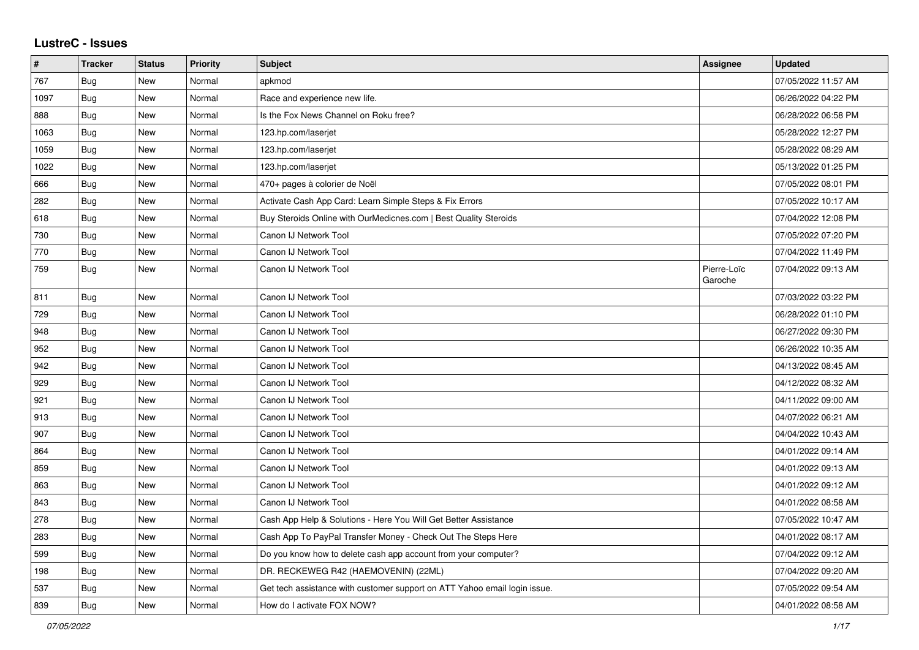## **LustreC - Issues**

| #    | <b>Tracker</b> | <b>Status</b> | <b>Priority</b> | <b>Subject</b>                                                            | Assignee               | <b>Updated</b>      |
|------|----------------|---------------|-----------------|---------------------------------------------------------------------------|------------------------|---------------------|
| 767  | Bug            | <b>New</b>    | Normal          | apkmod                                                                    |                        | 07/05/2022 11:57 AM |
| 1097 | Bug            | <b>New</b>    | Normal          | Race and experience new life.                                             |                        | 06/26/2022 04:22 PM |
| 888  | Bug            | <b>New</b>    | Normal          | Is the Fox News Channel on Roku free?                                     |                        | 06/28/2022 06:58 PM |
| 1063 | <b>Bug</b>     | <b>New</b>    | Normal          | 123.hp.com/laserjet                                                       |                        | 05/28/2022 12:27 PM |
| 1059 | Bug            | <b>New</b>    | Normal          | 123.hp.com/laserjet                                                       |                        | 05/28/2022 08:29 AM |
| 1022 | Bug            | <b>New</b>    | Normal          | 123.hp.com/laserjet                                                       |                        | 05/13/2022 01:25 PM |
| 666  | Bug            | <b>New</b>    | Normal          | 470+ pages à colorier de Noël                                             |                        | 07/05/2022 08:01 PM |
| 282  | Bug            | <b>New</b>    | Normal          | Activate Cash App Card: Learn Simple Steps & Fix Errors                   |                        | 07/05/2022 10:17 AM |
| 618  | <b>Bug</b>     | New           | Normal          | Buy Steroids Online with OurMedicnes.com   Best Quality Steroids          |                        | 07/04/2022 12:08 PM |
| 730  | Bug            | New           | Normal          | Canon IJ Network Tool                                                     |                        | 07/05/2022 07:20 PM |
| 770  | Bug            | New           | Normal          | Canon IJ Network Tool                                                     |                        | 07/04/2022 11:49 PM |
| 759  | Bug            | New           | Normal          | Canon IJ Network Tool                                                     | Pierre-Loïc<br>Garoche | 07/04/2022 09:13 AM |
| 811  | Bug            | <b>New</b>    | Normal          | Canon IJ Network Tool                                                     |                        | 07/03/2022 03:22 PM |
| 729  | Bug            | <b>New</b>    | Normal          | Canon IJ Network Tool                                                     |                        | 06/28/2022 01:10 PM |
| 948  | <b>Bug</b>     | New           | Normal          | Canon IJ Network Tool                                                     |                        | 06/27/2022 09:30 PM |
| 952  | Bug            | New           | Normal          | Canon IJ Network Tool                                                     |                        | 06/26/2022 10:35 AM |
| 942  | <b>Bug</b>     | <b>New</b>    | Normal          | Canon IJ Network Tool                                                     |                        | 04/13/2022 08:45 AM |
| 929  | <b>Bug</b>     | <b>New</b>    | Normal          | Canon IJ Network Tool                                                     |                        | 04/12/2022 08:32 AM |
| 921  | Bug            | <b>New</b>    | Normal          | Canon IJ Network Tool                                                     |                        | 04/11/2022 09:00 AM |
| 913  | Bug            | <b>New</b>    | Normal          | Canon IJ Network Tool                                                     |                        | 04/07/2022 06:21 AM |
| 907  | Bug            | <b>New</b>    | Normal          | Canon IJ Network Tool                                                     |                        | 04/04/2022 10:43 AM |
| 864  | Bug            | <b>New</b>    | Normal          | Canon IJ Network Tool                                                     |                        | 04/01/2022 09:14 AM |
| 859  | Bug            | <b>New</b>    | Normal          | Canon IJ Network Tool                                                     |                        | 04/01/2022 09:13 AM |
| 863  | Bug            | <b>New</b>    | Normal          | Canon IJ Network Tool                                                     |                        | 04/01/2022 09:12 AM |
| 843  | Bug            | <b>New</b>    | Normal          | Canon IJ Network Tool                                                     |                        | 04/01/2022 08:58 AM |
| 278  | Bug            | <b>New</b>    | Normal          | Cash App Help & Solutions - Here You Will Get Better Assistance           |                        | 07/05/2022 10:47 AM |
| 283  | Bug            | <b>New</b>    | Normal          | Cash App To PayPal Transfer Money - Check Out The Steps Here              |                        | 04/01/2022 08:17 AM |
| 599  | Bug            | <b>New</b>    | Normal          | Do you know how to delete cash app account from your computer?            |                        | 07/04/2022 09:12 AM |
| 198  | Bug            | <b>New</b>    | Normal          | DR. RECKEWEG R42 (HAEMOVENIN) (22ML)                                      |                        | 07/04/2022 09:20 AM |
| 537  | Bug            | <b>New</b>    | Normal          | Get tech assistance with customer support on ATT Yahoo email login issue. |                        | 07/05/2022 09:54 AM |
| 839  | Bug            | New           | Normal          | How do I activate FOX NOW?                                                |                        | 04/01/2022 08:58 AM |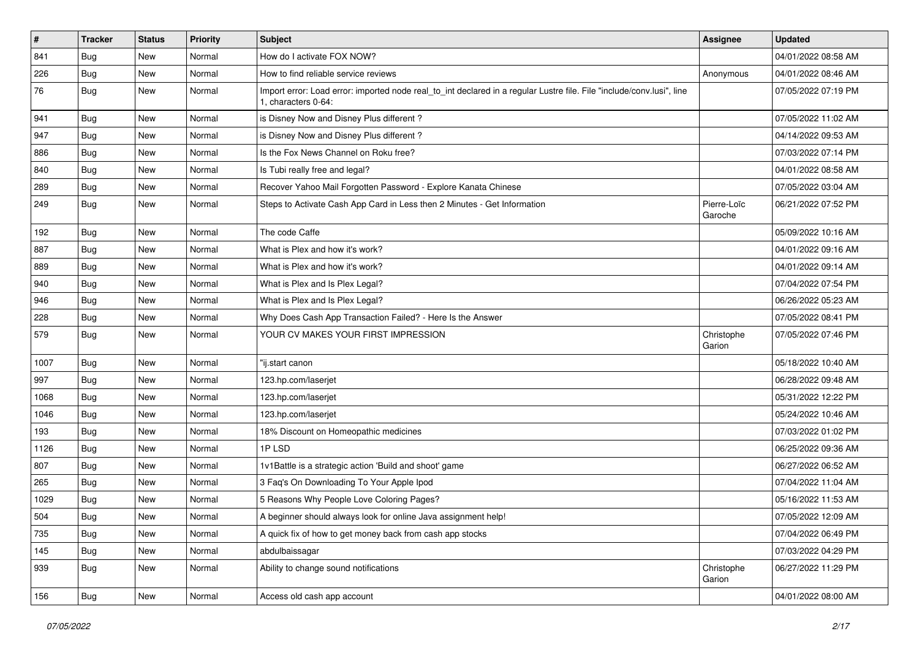| $\sharp$ | <b>Tracker</b> | <b>Status</b> | <b>Priority</b> | <b>Subject</b>                                                                                                                               | Assignee               | <b>Updated</b>      |
|----------|----------------|---------------|-----------------|----------------------------------------------------------------------------------------------------------------------------------------------|------------------------|---------------------|
| 841      | <b>Bug</b>     | New           | Normal          | How do I activate FOX NOW?                                                                                                                   |                        | 04/01/2022 08:58 AM |
| 226      | Bug            | <b>New</b>    | Normal          | How to find reliable service reviews                                                                                                         | Anonymous              | 04/01/2022 08:46 AM |
| 76       | Bug            | New           | Normal          | Import error: Load error: imported node real_to_int declared in a regular Lustre file. File "include/conv.lusi", line<br>1. characters 0-64: |                        | 07/05/2022 07:19 PM |
| 941      | Bug            | <b>New</b>    | Normal          | is Disney Now and Disney Plus different?                                                                                                     |                        | 07/05/2022 11:02 AM |
| 947      | Bug            | <b>New</b>    | Normal          | is Disney Now and Disney Plus different?                                                                                                     |                        | 04/14/2022 09:53 AM |
| 886      | Bug            | <b>New</b>    | Normal          | Is the Fox News Channel on Roku free?                                                                                                        |                        | 07/03/2022 07:14 PM |
| 840      | Bug            | <b>New</b>    | Normal          | Is Tubi really free and legal?                                                                                                               |                        | 04/01/2022 08:58 AM |
| 289      | Bug            | <b>New</b>    | Normal          | Recover Yahoo Mail Forgotten Password - Explore Kanata Chinese                                                                               |                        | 07/05/2022 03:04 AM |
| 249      | Bug            | <b>New</b>    | Normal          | Steps to Activate Cash App Card in Less then 2 Minutes - Get Information                                                                     | Pierre-Loïc<br>Garoche | 06/21/2022 07:52 PM |
| 192      | Bug            | <b>New</b>    | Normal          | The code Caffe                                                                                                                               |                        | 05/09/2022 10:16 AM |
| 887      | Bug            | New           | Normal          | What is Plex and how it's work?                                                                                                              |                        | 04/01/2022 09:16 AM |
| 889      | Bug            | <b>New</b>    | Normal          | What is Plex and how it's work?                                                                                                              |                        | 04/01/2022 09:14 AM |
| 940      | Bug            | <b>New</b>    | Normal          | What is Plex and Is Plex Legal?                                                                                                              |                        | 07/04/2022 07:54 PM |
| 946      | Bug            | <b>New</b>    | Normal          | What is Plex and Is Plex Legal?                                                                                                              |                        | 06/26/2022 05:23 AM |
| 228      | Bug            | New           | Normal          | Why Does Cash App Transaction Failed? - Here Is the Answer                                                                                   |                        | 07/05/2022 08:41 PM |
| 579      | <b>Bug</b>     | New           | Normal          | YOUR CV MAKES YOUR FIRST IMPRESSION                                                                                                          | Christophe<br>Garion   | 07/05/2022 07:46 PM |
| 1007     | Bug            | <b>New</b>    | Normal          | "ij.start canon                                                                                                                              |                        | 05/18/2022 10:40 AM |
| 997      | Bug            | <b>New</b>    | Normal          | 123.hp.com/laserjet                                                                                                                          |                        | 06/28/2022 09:48 AM |
| 1068     | Bug            | <b>New</b>    | Normal          | 123.hp.com/laserjet                                                                                                                          |                        | 05/31/2022 12:22 PM |
| 1046     | Bug            | New           | Normal          | 123.hp.com/laserjet                                                                                                                          |                        | 05/24/2022 10:46 AM |
| 193      | Bug            | <b>New</b>    | Normal          | 18% Discount on Homeopathic medicines                                                                                                        |                        | 07/03/2022 01:02 PM |
| 1126     | Bug            | <b>New</b>    | Normal          | 1PLSD                                                                                                                                        |                        | 06/25/2022 09:36 AM |
| 807      | Bug            | <b>New</b>    | Normal          | 1v1Battle is a strategic action 'Build and shoot' game                                                                                       |                        | 06/27/2022 06:52 AM |
| 265      | Bug            | <b>New</b>    | Normal          | 3 Faq's On Downloading To Your Apple Ipod                                                                                                    |                        | 07/04/2022 11:04 AM |
| 1029     | Bug            | <b>New</b>    | Normal          | 5 Reasons Why People Love Coloring Pages?                                                                                                    |                        | 05/16/2022 11:53 AM |
| 504      | Bug            | New           | Normal          | A beginner should always look for online Java assignment help!                                                                               |                        | 07/05/2022 12:09 AM |
| 735      | Bug            | New           | Normal          | A quick fix of how to get money back from cash app stocks                                                                                    |                        | 07/04/2022 06:49 PM |
| 145      | Bug            | New           | Normal          | abdulbaissagar                                                                                                                               |                        | 07/03/2022 04:29 PM |
| 939      | Bug            | New           | Normal          | Ability to change sound notifications                                                                                                        | Christophe<br>Garion   | 06/27/2022 11:29 PM |
| 156      | <b>Bug</b>     | New           | Normal          | Access old cash app account                                                                                                                  |                        | 04/01/2022 08:00 AM |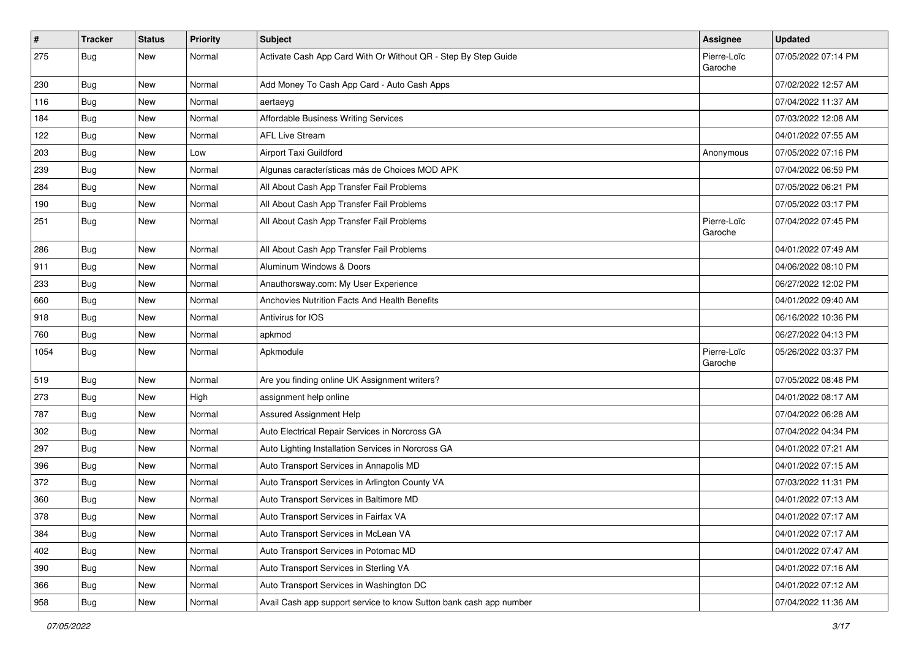| $\vert$ # | <b>Tracker</b> | <b>Status</b> | Priority | Subject                                                            | <b>Assignee</b>        | <b>Updated</b>      |
|-----------|----------------|---------------|----------|--------------------------------------------------------------------|------------------------|---------------------|
| 275       | <b>Bug</b>     | New           | Normal   | Activate Cash App Card With Or Without QR - Step By Step Guide     | Pierre-Loïc<br>Garoche | 07/05/2022 07:14 PM |
| 230       | Bug            | New           | Normal   | Add Money To Cash App Card - Auto Cash Apps                        |                        | 07/02/2022 12:57 AM |
| 116       | Bug            | New           | Normal   | aertaeyg                                                           |                        | 07/04/2022 11:37 AM |
| 184       | Bug            | <b>New</b>    | Normal   | Affordable Business Writing Services                               |                        | 07/03/2022 12:08 AM |
| 122       | Bug            | New           | Normal   | <b>AFL Live Stream</b>                                             |                        | 04/01/2022 07:55 AM |
| 203       | <b>Bug</b>     | New           | Low      | Airport Taxi Guildford                                             | Anonymous              | 07/05/2022 07:16 PM |
| 239       | <b>Bug</b>     | <b>New</b>    | Normal   | Algunas características más de Choices MOD APK                     |                        | 07/04/2022 06:59 PM |
| 284       | <b>Bug</b>     | New           | Normal   | All About Cash App Transfer Fail Problems                          |                        | 07/05/2022 06:21 PM |
| 190       | Bug            | <b>New</b>    | Normal   | All About Cash App Transfer Fail Problems                          |                        | 07/05/2022 03:17 PM |
| 251       | Bug            | New           | Normal   | All About Cash App Transfer Fail Problems                          | Pierre-Loïc<br>Garoche | 07/04/2022 07:45 PM |
| 286       | Bug            | <b>New</b>    | Normal   | All About Cash App Transfer Fail Problems                          |                        | 04/01/2022 07:49 AM |
| 911       | Bug            | New           | Normal   | Aluminum Windows & Doors                                           |                        | 04/06/2022 08:10 PM |
| 233       | <b>Bug</b>     | New           | Normal   | Anauthorsway.com: My User Experience                               |                        | 06/27/2022 12:02 PM |
| 660       | Bug            | <b>New</b>    | Normal   | Anchovies Nutrition Facts And Health Benefits                      |                        | 04/01/2022 09:40 AM |
| 918       | <b>Bug</b>     | New           | Normal   | Antivirus for IOS                                                  |                        | 06/16/2022 10:36 PM |
| 760       | Bug            | <b>New</b>    | Normal   | apkmod                                                             |                        | 06/27/2022 04:13 PM |
| 1054      | Bug            | New           | Normal   | Apkmodule                                                          | Pierre-Loïc<br>Garoche | 05/26/2022 03:37 PM |
| 519       | Bug            | New           | Normal   | Are you finding online UK Assignment writers?                      |                        | 07/05/2022 08:48 PM |
| 273       | Bug            | New           | High     | assignment help online                                             |                        | 04/01/2022 08:17 AM |
| 787       | <b>Bug</b>     | <b>New</b>    | Normal   | Assured Assignment Help                                            |                        | 07/04/2022 06:28 AM |
| 302       | Bug            | New           | Normal   | Auto Electrical Repair Services in Norcross GA                     |                        | 07/04/2022 04:34 PM |
| 297       | Bug            | <b>New</b>    | Normal   | Auto Lighting Installation Services in Norcross GA                 |                        | 04/01/2022 07:21 AM |
| 396       | <b>Bug</b>     | <b>New</b>    | Normal   | Auto Transport Services in Annapolis MD                            |                        | 04/01/2022 07:15 AM |
| 372       | Bug            | New           | Normal   | Auto Transport Services in Arlington County VA                     |                        | 07/03/2022 11:31 PM |
| 360       | <b>Bug</b>     | New           | Normal   | Auto Transport Services in Baltimore MD                            |                        | 04/01/2022 07:13 AM |
| 378       | Bug            | New           | Normal   | Auto Transport Services in Fairfax VA                              |                        | 04/01/2022 07:17 AM |
| 384       | Bug            | New           | Normal   | Auto Transport Services in McLean VA                               |                        | 04/01/2022 07:17 AM |
| 402       | Bug            | New           | Normal   | Auto Transport Services in Potomac MD                              |                        | 04/01/2022 07:47 AM |
| 390       | Bug            | New           | Normal   | Auto Transport Services in Sterling VA                             |                        | 04/01/2022 07:16 AM |
| 366       | Bug            | New           | Normal   | Auto Transport Services in Washington DC                           |                        | 04/01/2022 07:12 AM |
| 958       | <b>Bug</b>     | New           | Normal   | Avail Cash app support service to know Sutton bank cash app number |                        | 07/04/2022 11:36 AM |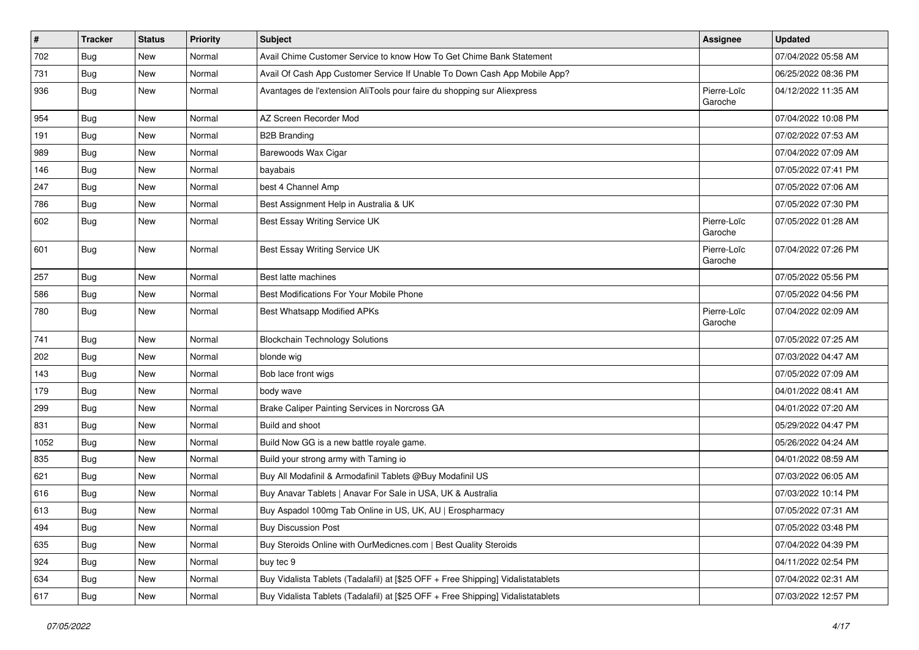| $\vert$ # | <b>Tracker</b> | <b>Status</b> | <b>Priority</b> | <b>Subject</b>                                                                   | <b>Assignee</b>        | <b>Updated</b>      |
|-----------|----------------|---------------|-----------------|----------------------------------------------------------------------------------|------------------------|---------------------|
| 702       | Bug            | New           | Normal          | Avail Chime Customer Service to know How To Get Chime Bank Statement             |                        | 07/04/2022 05:58 AM |
| 731       | Bug            | <b>New</b>    | Normal          | Avail Of Cash App Customer Service If Unable To Down Cash App Mobile App?        |                        | 06/25/2022 08:36 PM |
| 936       | Bug            | <b>New</b>    | Normal          | Avantages de l'extension AliTools pour faire du shopping sur Aliexpress          | Pierre-Loïc<br>Garoche | 04/12/2022 11:35 AM |
| 954       | Bug            | New           | Normal          | AZ Screen Recorder Mod                                                           |                        | 07/04/2022 10:08 PM |
| 191       | Bug            | New           | Normal          | <b>B2B Branding</b>                                                              |                        | 07/02/2022 07:53 AM |
| 989       | Bug            | New           | Normal          | Barewoods Wax Cigar                                                              |                        | 07/04/2022 07:09 AM |
| 146       | Bug            | <b>New</b>    | Normal          | bayabais                                                                         |                        | 07/05/2022 07:41 PM |
| 247       | <b>Bug</b>     | New           | Normal          | best 4 Channel Amp                                                               |                        | 07/05/2022 07:06 AM |
| 786       | Bug            | <b>New</b>    | Normal          | Best Assignment Help in Australia & UK                                           |                        | 07/05/2022 07:30 PM |
| 602       | Bug            | <b>New</b>    | Normal          | Best Essay Writing Service UK                                                    | Pierre-Loïc<br>Garoche | 07/05/2022 01:28 AM |
| 601       | Bug            | New           | Normal          | Best Essay Writing Service UK                                                    | Pierre-Loïc<br>Garoche | 07/04/2022 07:26 PM |
| 257       | Bug            | New           | Normal          | Best latte machines                                                              |                        | 07/05/2022 05:56 PM |
| 586       | Bug            | <b>New</b>    | Normal          | Best Modifications For Your Mobile Phone                                         |                        | 07/05/2022 04:56 PM |
| 780       | Bug            | New           | Normal          | Best Whatsapp Modified APKs                                                      | Pierre-Loïc<br>Garoche | 07/04/2022 02:09 AM |
| 741       | Bug            | <b>New</b>    | Normal          | <b>Blockchain Technology Solutions</b>                                           |                        | 07/05/2022 07:25 AM |
| 202       | Bug            | <b>New</b>    | Normal          | blonde wig                                                                       |                        | 07/03/2022 04:47 AM |
| 143       | Bug            | New           | Normal          | Bob lace front wigs                                                              |                        | 07/05/2022 07:09 AM |
| 179       | <b>Bug</b>     | New           | Normal          | body wave                                                                        |                        | 04/01/2022 08:41 AM |
| 299       | <b>Bug</b>     | New           | Normal          | Brake Caliper Painting Services in Norcross GA                                   |                        | 04/01/2022 07:20 AM |
| 831       | Bug            | <b>New</b>    | Normal          | Build and shoot                                                                  |                        | 05/29/2022 04:47 PM |
| 1052      | <b>Bug</b>     | New           | Normal          | Build Now GG is a new battle royale game.                                        |                        | 05/26/2022 04:24 AM |
| 835       | Bug            | New           | Normal          | Build your strong army with Taming io                                            |                        | 04/01/2022 08:59 AM |
| 621       | Bug            | New           | Normal          | Buy All Modafinil & Armodafinil Tablets @Buy Modafinil US                        |                        | 07/03/2022 06:05 AM |
| 616       | <b>Bug</b>     | New           | Normal          | Buy Anavar Tablets   Anavar For Sale in USA, UK & Australia                      |                        | 07/03/2022 10:14 PM |
| 613       | Bug            | <b>New</b>    | Normal          | Buy Aspadol 100mg Tab Online in US, UK, AU   Erospharmacy                        |                        | 07/05/2022 07:31 AM |
| 494       | Bug            | New           | Normal          | <b>Buy Discussion Post</b>                                                       |                        | 07/05/2022 03:48 PM |
| 635       | Bug            | New           | Normal          | Buy Steroids Online with OurMedicnes.com   Best Quality Steroids                 |                        | 07/04/2022 04:39 PM |
| 924       | Bug            | New           | Normal          | buy tec 9                                                                        |                        | 04/11/2022 02:54 PM |
| 634       | Bug            | New           | Normal          | Buy Vidalista Tablets (Tadalafil) at [\$25 OFF + Free Shipping] Vidalistatablets |                        | 07/04/2022 02:31 AM |
| 617       | Bug            | New           | Normal          | Buy Vidalista Tablets (Tadalafil) at [\$25 OFF + Free Shipping] Vidalistatablets |                        | 07/03/2022 12:57 PM |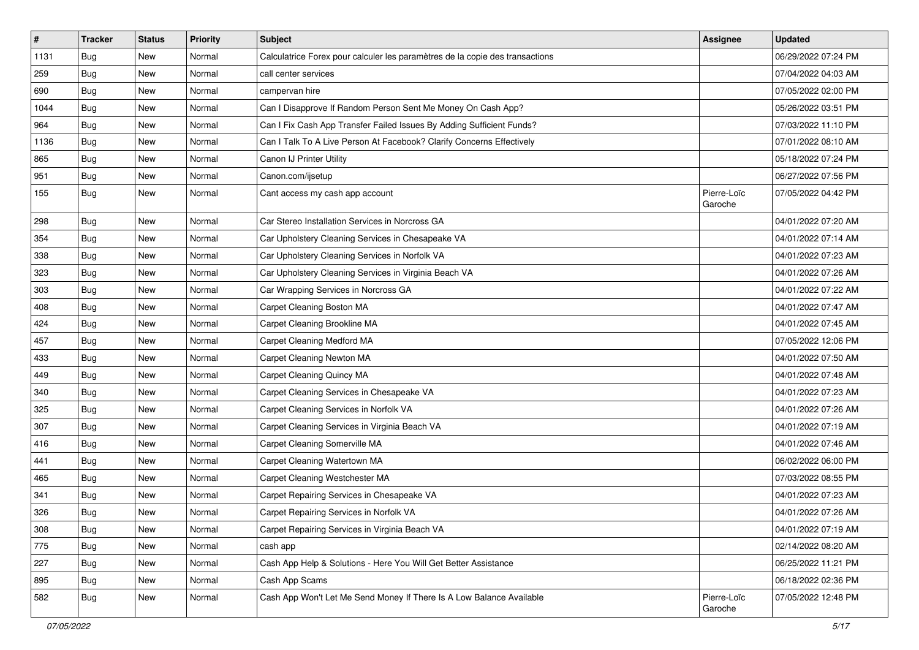| $\vert$ # | <b>Tracker</b> | <b>Status</b> | <b>Priority</b> | <b>Subject</b>                                                               | <b>Assignee</b>        | <b>Updated</b>      |
|-----------|----------------|---------------|-----------------|------------------------------------------------------------------------------|------------------------|---------------------|
| 1131      | Bug            | New           | Normal          | Calculatrice Forex pour calculer les paramètres de la copie des transactions |                        | 06/29/2022 07:24 PM |
| 259       | Bug            | <b>New</b>    | Normal          | call center services                                                         |                        | 07/04/2022 04:03 AM |
| 690       | Bug            | New           | Normal          | campervan hire                                                               |                        | 07/05/2022 02:00 PM |
| 1044      | <b>Bug</b>     | New           | Normal          | Can I Disapprove If Random Person Sent Me Money On Cash App?                 |                        | 05/26/2022 03:51 PM |
| 964       | Bug            | <b>New</b>    | Normal          | Can I Fix Cash App Transfer Failed Issues By Adding Sufficient Funds?        |                        | 07/03/2022 11:10 PM |
| 1136      | Bug            | New           | Normal          | Can I Talk To A Live Person At Facebook? Clarify Concerns Effectively        |                        | 07/01/2022 08:10 AM |
| 865       | <b>Bug</b>     | New           | Normal          | Canon IJ Printer Utility                                                     |                        | 05/18/2022 07:24 PM |
| 951       | Bug            | <b>New</b>    | Normal          | Canon.com/ijsetup                                                            |                        | 06/27/2022 07:56 PM |
| 155       | Bug            | New           | Normal          | Cant access my cash app account                                              | Pierre-Loïc<br>Garoche | 07/05/2022 04:42 PM |
| 298       | Bug            | New           | Normal          | Car Stereo Installation Services in Norcross GA                              |                        | 04/01/2022 07:20 AM |
| 354       | Bug            | New           | Normal          | Car Upholstery Cleaning Services in Chesapeake VA                            |                        | 04/01/2022 07:14 AM |
| 338       | Bug            | <b>New</b>    | Normal          | Car Upholstery Cleaning Services in Norfolk VA                               |                        | 04/01/2022 07:23 AM |
| 323       | Bug            | New           | Normal          | Car Upholstery Cleaning Services in Virginia Beach VA                        |                        | 04/01/2022 07:26 AM |
| 303       | <b>Bug</b>     | New           | Normal          | Car Wrapping Services in Norcross GA                                         |                        | 04/01/2022 07:22 AM |
| 408       | <b>Bug</b>     | <b>New</b>    | Normal          | Carpet Cleaning Boston MA                                                    |                        | 04/01/2022 07:47 AM |
| 424       | <b>Bug</b>     | New           | Normal          | Carpet Cleaning Brookline MA                                                 |                        | 04/01/2022 07:45 AM |
| 457       | Bug            | <b>New</b>    | Normal          | Carpet Cleaning Medford MA                                                   |                        | 07/05/2022 12:06 PM |
| 433       | Bug            | New           | Normal          | Carpet Cleaning Newton MA                                                    |                        | 04/01/2022 07:50 AM |
| 449       | Bug            | New           | Normal          | Carpet Cleaning Quincy MA                                                    |                        | 04/01/2022 07:48 AM |
| 340       | Bug            | <b>New</b>    | Normal          | Carpet Cleaning Services in Chesapeake VA                                    |                        | 04/01/2022 07:23 AM |
| 325       | <b>Bug</b>     | New           | Normal          | Carpet Cleaning Services in Norfolk VA                                       |                        | 04/01/2022 07:26 AM |
| 307       | <b>Bug</b>     | New           | Normal          | Carpet Cleaning Services in Virginia Beach VA                                |                        | 04/01/2022 07:19 AM |
| 416       | Bug            | New           | Normal          | Carpet Cleaning Somerville MA                                                |                        | 04/01/2022 07:46 AM |
| 441       | <b>Bug</b>     | New           | Normal          | Carpet Cleaning Watertown MA                                                 |                        | 06/02/2022 06:00 PM |
| 465       | <b>Bug</b>     | <b>New</b>    | Normal          | Carpet Cleaning Westchester MA                                               |                        | 07/03/2022 08:55 PM |
| 341       | <b>Bug</b>     | New           | Normal          | Carpet Repairing Services in Chesapeake VA                                   |                        | 04/01/2022 07:23 AM |
| 326       | Bug            | New           | Normal          | Carpet Repairing Services in Norfolk VA                                      |                        | 04/01/2022 07:26 AM |
| 308       | Bug            | New           | Normal          | Carpet Repairing Services in Virginia Beach VA                               |                        | 04/01/2022 07:19 AM |
| 775       | Bug            | New           | Normal          | cash app                                                                     |                        | 02/14/2022 08:20 AM |
| 227       | Bug            | <b>New</b>    | Normal          | Cash App Help & Solutions - Here You Will Get Better Assistance              |                        | 06/25/2022 11:21 PM |
| 895       | Bug            | New           | Normal          | Cash App Scams                                                               |                        | 06/18/2022 02:36 PM |
| 582       | Bug            | New           | Normal          | Cash App Won't Let Me Send Money If There Is A Low Balance Available         | Pierre-Loïc<br>Garoche | 07/05/2022 12:48 PM |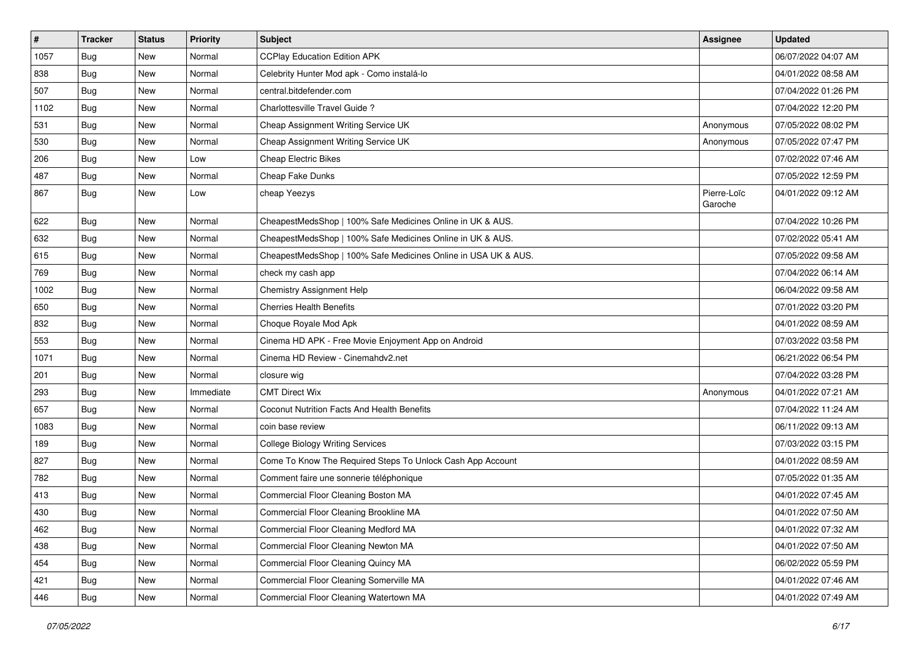| $\vert$ # | <b>Tracker</b> | <b>Status</b> | <b>Priority</b> | Subject                                                        | <b>Assignee</b>        | <b>Updated</b>      |
|-----------|----------------|---------------|-----------------|----------------------------------------------------------------|------------------------|---------------------|
| 1057      | Bug            | New           | Normal          | <b>CCPlay Education Edition APK</b>                            |                        | 06/07/2022 04:07 AM |
| 838       | Bug            | <b>New</b>    | Normal          | Celebrity Hunter Mod apk - Como instalá-lo                     |                        | 04/01/2022 08:58 AM |
| 507       | Bug            | New           | Normal          | central.bitdefender.com                                        |                        | 07/04/2022 01:26 PM |
| 1102      | <b>Bug</b>     | <b>New</b>    | Normal          | Charlottesville Travel Guide?                                  |                        | 07/04/2022 12:20 PM |
| 531       | Bug            | <b>New</b>    | Normal          | Cheap Assignment Writing Service UK                            | Anonymous              | 07/05/2022 08:02 PM |
| 530       | Bug            | New           | Normal          | Cheap Assignment Writing Service UK                            | Anonymous              | 07/05/2022 07:47 PM |
| 206       | Bug            | <b>New</b>    | Low             | <b>Cheap Electric Bikes</b>                                    |                        | 07/02/2022 07:46 AM |
| 487       | Bug            | New           | Normal          | Cheap Fake Dunks                                               |                        | 07/05/2022 12:59 PM |
| 867       | Bug            | New           | Low             | cheap Yeezys                                                   | Pierre-Loïc<br>Garoche | 04/01/2022 09:12 AM |
| 622       | Bug            | New           | Normal          | CheapestMedsShop   100% Safe Medicines Online in UK & AUS.     |                        | 07/04/2022 10:26 PM |
| 632       | Bug            | New           | Normal          | CheapestMedsShop   100% Safe Medicines Online in UK & AUS.     |                        | 07/02/2022 05:41 AM |
| 615       | Bug            | <b>New</b>    | Normal          | CheapestMedsShop   100% Safe Medicines Online in USA UK & AUS. |                        | 07/05/2022 09:58 AM |
| 769       | <b>Bug</b>     | <b>New</b>    | Normal          | check my cash app                                              |                        | 07/04/2022 06:14 AM |
| 1002      | Bug            | New           | Normal          | <b>Chemistry Assignment Help</b>                               |                        | 06/04/2022 09:58 AM |
| 650       | Bug            | New           | Normal          | <b>Cherries Health Benefits</b>                                |                        | 07/01/2022 03:20 PM |
| 832       | <b>Bug</b>     | New           | Normal          | Choque Royale Mod Apk                                          |                        | 04/01/2022 08:59 AM |
| 553       | Bug            | <b>New</b>    | Normal          | Cinema HD APK - Free Movie Enjoyment App on Android            |                        | 07/03/2022 03:58 PM |
| 1071      | <b>Bug</b>     | New           | Normal          | Cinema HD Review - Cinemahdv2.net                              |                        | 06/21/2022 06:54 PM |
| 201       | Bug            | <b>New</b>    | Normal          | closure wig                                                    |                        | 07/04/2022 03:28 PM |
| 293       | Bug            | New           | Immediate       | <b>CMT Direct Wix</b>                                          | Anonymous              | 04/01/2022 07:21 AM |
| 657       | Bug            | <b>New</b>    | Normal          | Coconut Nutrition Facts And Health Benefits                    |                        | 07/04/2022 11:24 AM |
| 1083      | Bug            | <b>New</b>    | Normal          | coin base review                                               |                        | 06/11/2022 09:13 AM |
| 189       | Bug            | New           | Normal          | <b>College Biology Writing Services</b>                        |                        | 07/03/2022 03:15 PM |
| 827       | <b>Bug</b>     | <b>New</b>    | Normal          | Come To Know The Required Steps To Unlock Cash App Account     |                        | 04/01/2022 08:59 AM |
| 782       | <b>Bug</b>     | <b>New</b>    | Normal          | Comment faire une sonnerie téléphonique                        |                        | 07/05/2022 01:35 AM |
| 413       | <b>Bug</b>     | New           | Normal          | Commercial Floor Cleaning Boston MA                            |                        | 04/01/2022 07:45 AM |
| 430       | <b>Bug</b>     | New           | Normal          | Commercial Floor Cleaning Brookline MA                         |                        | 04/01/2022 07:50 AM |
| 462       | Bug            | New           | Normal          | Commercial Floor Cleaning Medford MA                           |                        | 04/01/2022 07:32 AM |
| 438       | Bug            | New           | Normal          | Commercial Floor Cleaning Newton MA                            |                        | 04/01/2022 07:50 AM |
| 454       | Bug            | New           | Normal          | Commercial Floor Cleaning Quincy MA                            |                        | 06/02/2022 05:59 PM |
| 421       | <b>Bug</b>     | New           | Normal          | Commercial Floor Cleaning Somerville MA                        |                        | 04/01/2022 07:46 AM |
| 446       | Bug            | New           | Normal          | Commercial Floor Cleaning Watertown MA                         |                        | 04/01/2022 07:49 AM |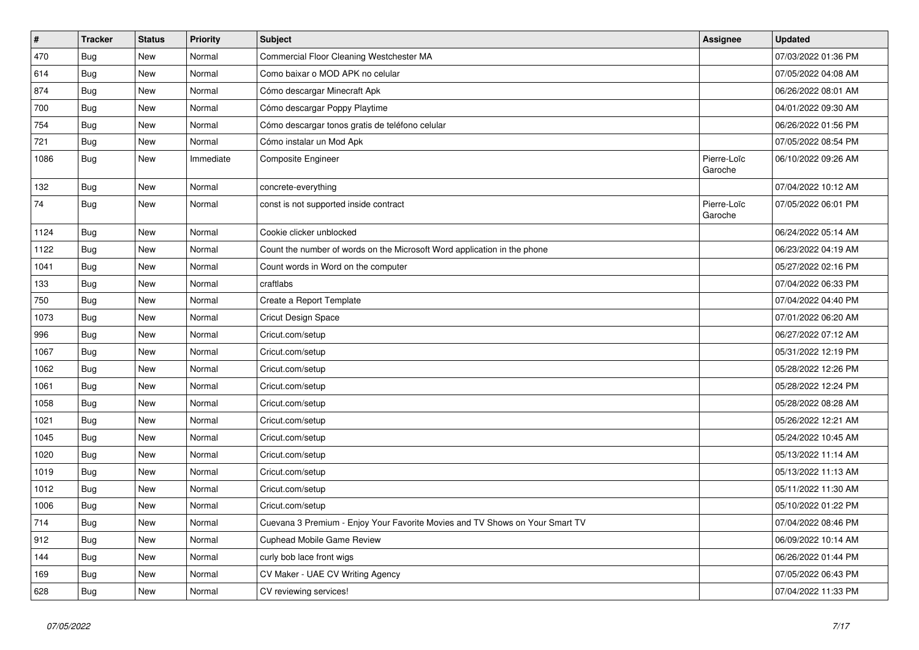| $\vert$ # | <b>Tracker</b> | <b>Status</b> | Priority  | <b>Subject</b>                                                               | <b>Assignee</b>        | <b>Updated</b>      |
|-----------|----------------|---------------|-----------|------------------------------------------------------------------------------|------------------------|---------------------|
| 470       | <b>Bug</b>     | <b>New</b>    | Normal    | Commercial Floor Cleaning Westchester MA                                     |                        | 07/03/2022 01:36 PM |
| 614       | Bug            | <b>New</b>    | Normal    | Como baixar o MOD APK no celular                                             |                        | 07/05/2022 04:08 AM |
| 874       | Bug            | <b>New</b>    | Normal    | Cómo descargar Minecraft Apk                                                 |                        | 06/26/2022 08:01 AM |
| 700       | Bug            | <b>New</b>    | Normal    | Cómo descargar Poppy Playtime                                                |                        | 04/01/2022 09:30 AM |
| 754       | Bug            | <b>New</b>    | Normal    | Cómo descargar tonos gratis de teléfono celular                              |                        | 06/26/2022 01:56 PM |
| 721       | <b>Bug</b>     | <b>New</b>    | Normal    | Cómo instalar un Mod Apk                                                     |                        | 07/05/2022 08:54 PM |
| 1086      | <b>Bug</b>     | <b>New</b>    | Immediate | <b>Composite Engineer</b>                                                    | Pierre-Loïc<br>Garoche | 06/10/2022 09:26 AM |
| 132       | Bug            | <b>New</b>    | Normal    | concrete-everything                                                          |                        | 07/04/2022 10:12 AM |
| 74        | <b>Bug</b>     | <b>New</b>    | Normal    | const is not supported inside contract                                       | Pierre-Loïc<br>Garoche | 07/05/2022 06:01 PM |
| 1124      | <b>Bug</b>     | New           | Normal    | Cookie clicker unblocked                                                     |                        | 06/24/2022 05:14 AM |
| 1122      | Bug            | New           | Normal    | Count the number of words on the Microsoft Word application in the phone     |                        | 06/23/2022 04:19 AM |
| 1041      | Bug            | <b>New</b>    | Normal    | Count words in Word on the computer                                          |                        | 05/27/2022 02:16 PM |
| 133       | <b>Bug</b>     | New           | Normal    | craftlabs                                                                    |                        | 07/04/2022 06:33 PM |
| 750       | <b>Bug</b>     | <b>New</b>    | Normal    | Create a Report Template                                                     |                        | 07/04/2022 04:40 PM |
| 1073      | <b>Bug</b>     | <b>New</b>    | Normal    | <b>Cricut Design Space</b>                                                   |                        | 07/01/2022 06:20 AM |
| 996       | Bug            | <b>New</b>    | Normal    | Cricut.com/setup                                                             |                        | 06/27/2022 07:12 AM |
| 1067      | <b>Bug</b>     | New           | Normal    | Cricut.com/setup                                                             |                        | 05/31/2022 12:19 PM |
| 1062      | Bug            | <b>New</b>    | Normal    | Cricut.com/setup                                                             |                        | 05/28/2022 12:26 PM |
| 1061      | Bug            | <b>New</b>    | Normal    | Cricut.com/setup                                                             |                        | 05/28/2022 12:24 PM |
| 1058      | Bug            | <b>New</b>    | Normal    | Cricut.com/setup                                                             |                        | 05/28/2022 08:28 AM |
| 1021      | Bug            | <b>New</b>    | Normal    | Cricut.com/setup                                                             |                        | 05/26/2022 12:21 AM |
| 1045      | Bug            | <b>New</b>    | Normal    | Cricut.com/setup                                                             |                        | 05/24/2022 10:45 AM |
| 1020      | <b>Bug</b>     | <b>New</b>    | Normal    | Cricut.com/setup                                                             |                        | 05/13/2022 11:14 AM |
| 1019      | Bug            | <b>New</b>    | Normal    | Cricut.com/setup                                                             |                        | 05/13/2022 11:13 AM |
| 1012      | Bug            | <b>New</b>    | Normal    | Cricut.com/setup                                                             |                        | 05/11/2022 11:30 AM |
| 1006      | <b>Bug</b>     | <b>New</b>    | Normal    | Cricut.com/setup                                                             |                        | 05/10/2022 01:22 PM |
| 714       | <b>Bug</b>     | New           | Normal    | Cuevana 3 Premium - Enjoy Your Favorite Movies and TV Shows on Your Smart TV |                        | 07/04/2022 08:46 PM |
| 912       | <b>Bug</b>     | <b>New</b>    | Normal    | Cuphead Mobile Game Review                                                   |                        | 06/09/2022 10:14 AM |
| 144       | <b>Bug</b>     | <b>New</b>    | Normal    | curly bob lace front wigs                                                    |                        | 06/26/2022 01:44 PM |
| 169       | Bug            | <b>New</b>    | Normal    | CV Maker - UAE CV Writing Agency                                             |                        | 07/05/2022 06:43 PM |
| 628       | Bug            | <b>New</b>    | Normal    | CV reviewing services!                                                       |                        | 07/04/2022 11:33 PM |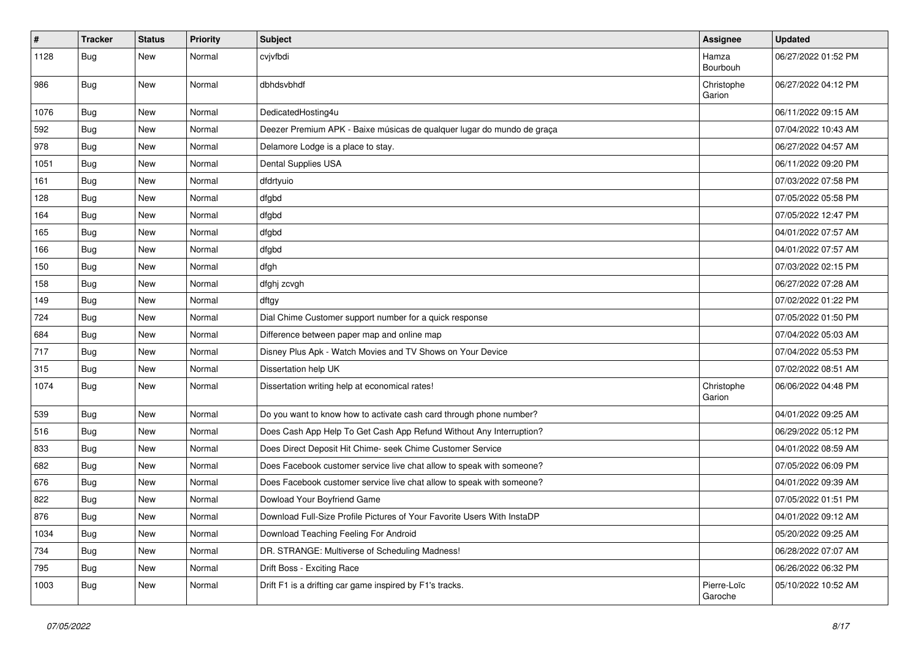| $\vert$ # | <b>Tracker</b> | <b>Status</b> | <b>Priority</b> | <b>Subject</b>                                                          | <b>Assignee</b>        | <b>Updated</b>      |
|-----------|----------------|---------------|-----------------|-------------------------------------------------------------------------|------------------------|---------------------|
| 1128      | Bug            | New           | Normal          | cvjvfbdi                                                                | Hamza<br>Bourbouh      | 06/27/2022 01:52 PM |
| 986       | Bug            | <b>New</b>    | Normal          | dbhdsvbhdf                                                              | Christophe<br>Garion   | 06/27/2022 04:12 PM |
| 1076      | Bug            | <b>New</b>    | Normal          | DedicatedHosting4u                                                      |                        | 06/11/2022 09:15 AM |
| 592       | Bug            | New           | Normal          | Deezer Premium APK - Baixe músicas de qualquer lugar do mundo de graça  |                        | 07/04/2022 10:43 AM |
| 978       | Bug            | New           | Normal          | Delamore Lodge is a place to stay.                                      |                        | 06/27/2022 04:57 AM |
| 1051      | Bug            | New           | Normal          | Dental Supplies USA                                                     |                        | 06/11/2022 09:20 PM |
| 161       | Bug            | New           | Normal          | dfdrtyuio                                                               |                        | 07/03/2022 07:58 PM |
| 128       | Bug            | <b>New</b>    | Normal          | dfgbd                                                                   |                        | 07/05/2022 05:58 PM |
| 164       | Bug            | New           | Normal          | dfgbd                                                                   |                        | 07/05/2022 12:47 PM |
| 165       | Bug            | New           | Normal          | dfgbd                                                                   |                        | 04/01/2022 07:57 AM |
| 166       | <b>Bug</b>     | <b>New</b>    | Normal          | dfgbd                                                                   |                        | 04/01/2022 07:57 AM |
| 150       | Bug            | New           | Normal          | dfgh                                                                    |                        | 07/03/2022 02:15 PM |
| 158       | Bug            | <b>New</b>    | Normal          | dfghj zcvgh                                                             |                        | 06/27/2022 07:28 AM |
| 149       | Bug            | New           | Normal          | dftgy                                                                   |                        | 07/02/2022 01:22 PM |
| 724       | <b>Bug</b>     | New           | Normal          | Dial Chime Customer support number for a quick response                 |                        | 07/05/2022 01:50 PM |
| 684       | Bug            | <b>New</b>    | Normal          | Difference between paper map and online map                             |                        | 07/04/2022 05:03 AM |
| 717       | <b>Bug</b>     | New           | Normal          | Disney Plus Apk - Watch Movies and TV Shows on Your Device              |                        | 07/04/2022 05:53 PM |
| 315       | Bug            | <b>New</b>    | Normal          | Dissertation help UK                                                    |                        | 07/02/2022 08:51 AM |
| 1074      | Bug            | New           | Normal          | Dissertation writing help at economical rates!                          | Christophe<br>Garion   | 06/06/2022 04:48 PM |
| 539       | Bug            | <b>New</b>    | Normal          | Do you want to know how to activate cash card through phone number?     |                        | 04/01/2022 09:25 AM |
| 516       | <b>Bug</b>     | New           | Normal          | Does Cash App Help To Get Cash App Refund Without Any Interruption?     |                        | 06/29/2022 05:12 PM |
| 833       | <b>Bug</b>     | New           | Normal          | Does Direct Deposit Hit Chime- seek Chime Customer Service              |                        | 04/01/2022 08:59 AM |
| 682       | Bug            | <b>New</b>    | Normal          | Does Facebook customer service live chat allow to speak with someone?   |                        | 07/05/2022 06:09 PM |
| 676       | <b>Bug</b>     | New           | Normal          | Does Facebook customer service live chat allow to speak with someone?   |                        | 04/01/2022 09:39 AM |
| 822       | <b>Bug</b>     | New           | Normal          | Dowload Your Boyfriend Game                                             |                        | 07/05/2022 01:51 PM |
| 876       | Bug            | New           | Normal          | Download Full-Size Profile Pictures of Your Favorite Users With InstaDP |                        | 04/01/2022 09:12 AM |
| 1034      | Bug            | New           | Normal          | Download Teaching Feeling For Android                                   |                        | 05/20/2022 09:25 AM |
| 734       | Bug            | New           | Normal          | DR. STRANGE: Multiverse of Scheduling Madness!                          |                        | 06/28/2022 07:07 AM |
| 795       | Bug            | New           | Normal          | Drift Boss - Exciting Race                                              |                        | 06/26/2022 06:32 PM |
| 1003      | Bug            | New           | Normal          | Drift F1 is a drifting car game inspired by F1's tracks.                | Pierre-Loïc<br>Garoche | 05/10/2022 10:52 AM |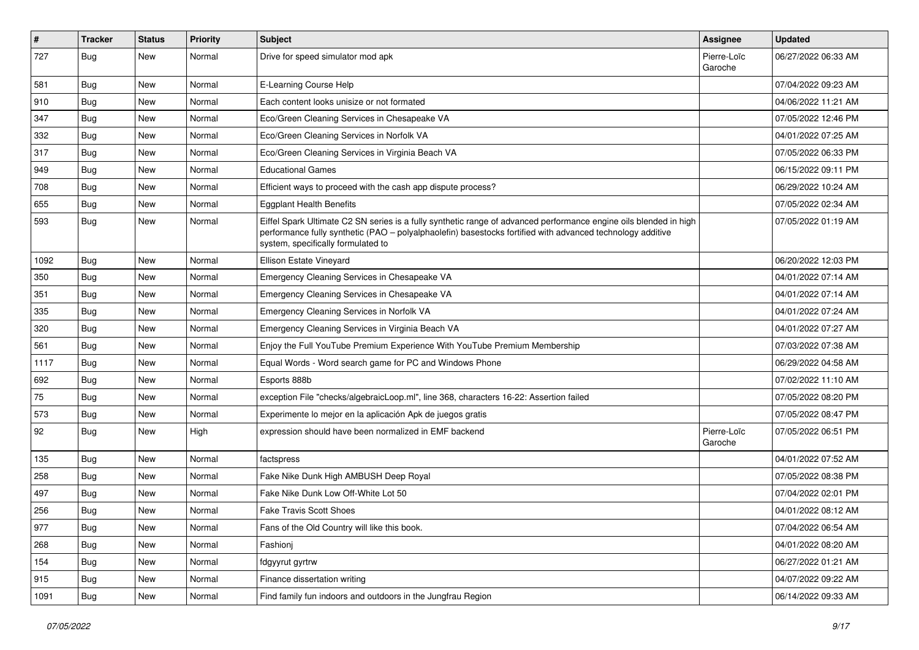| $\#$ | Tracker    | <b>Status</b> | Priority | <b>Subject</b>                                                                                                                                                                                                                                                        | <b>Assignee</b>        | <b>Updated</b>      |
|------|------------|---------------|----------|-----------------------------------------------------------------------------------------------------------------------------------------------------------------------------------------------------------------------------------------------------------------------|------------------------|---------------------|
| 727  | Bug        | New           | Normal   | Drive for speed simulator mod apk                                                                                                                                                                                                                                     | Pierre-Loïc<br>Garoche | 06/27/2022 06:33 AM |
| 581  | Bug        | New           | Normal   | E-Learning Course Help                                                                                                                                                                                                                                                |                        | 07/04/2022 09:23 AM |
| 910  | Bug        | New           | Normal   | Each content looks unisize or not formated                                                                                                                                                                                                                            |                        | 04/06/2022 11:21 AM |
| 347  | Bug        | <b>New</b>    | Normal   | Eco/Green Cleaning Services in Chesapeake VA                                                                                                                                                                                                                          |                        | 07/05/2022 12:46 PM |
| 332  | Bug        | New           | Normal   | Eco/Green Cleaning Services in Norfolk VA                                                                                                                                                                                                                             |                        | 04/01/2022 07:25 AM |
| 317  | Bug        | New           | Normal   | Eco/Green Cleaning Services in Virginia Beach VA                                                                                                                                                                                                                      |                        | 07/05/2022 06:33 PM |
| 949  | Bug        | New           | Normal   | <b>Educational Games</b>                                                                                                                                                                                                                                              |                        | 06/15/2022 09:11 PM |
| 708  | Bug        | New           | Normal   | Efficient ways to proceed with the cash app dispute process?                                                                                                                                                                                                          |                        | 06/29/2022 10:24 AM |
| 655  | Bug        | New           | Normal   | <b>Eggplant Health Benefits</b>                                                                                                                                                                                                                                       |                        | 07/05/2022 02:34 AM |
| 593  | Bug        | <b>New</b>    | Normal   | Eiffel Spark Ultimate C2 SN series is a fully synthetic range of advanced performance engine oils blended in high<br>performance fully synthetic (PAO - polyalphaolefin) basestocks fortified with advanced technology additive<br>system, specifically formulated to |                        | 07/05/2022 01:19 AM |
| 1092 | Bug        | New           | Normal   | Ellison Estate Vineyard                                                                                                                                                                                                                                               |                        | 06/20/2022 12:03 PM |
| 350  | Bug        | <b>New</b>    | Normal   | Emergency Cleaning Services in Chesapeake VA                                                                                                                                                                                                                          |                        | 04/01/2022 07:14 AM |
| 351  | Bug        | New           | Normal   | Emergency Cleaning Services in Chesapeake VA                                                                                                                                                                                                                          |                        | 04/01/2022 07:14 AM |
| 335  | Bug        | New           | Normal   | Emergency Cleaning Services in Norfolk VA                                                                                                                                                                                                                             |                        | 04/01/2022 07:24 AM |
| 320  | Bug        | New           | Normal   | Emergency Cleaning Services in Virginia Beach VA                                                                                                                                                                                                                      |                        | 04/01/2022 07:27 AM |
| 561  | Bug        | New           | Normal   | Enjoy the Full YouTube Premium Experience With YouTube Premium Membership                                                                                                                                                                                             |                        | 07/03/2022 07:38 AM |
| 1117 | Bug        | New           | Normal   | Equal Words - Word search game for PC and Windows Phone                                                                                                                                                                                                               |                        | 06/29/2022 04:58 AM |
| 692  | Bug        | New           | Normal   | Esports 888b                                                                                                                                                                                                                                                          |                        | 07/02/2022 11:10 AM |
| 75   | Bug        | <b>New</b>    | Normal   | exception File "checks/algebraicLoop.ml", line 368, characters 16-22: Assertion failed                                                                                                                                                                                |                        | 07/05/2022 08:20 PM |
| 573  | Bug        | <b>New</b>    | Normal   | Experimente lo mejor en la aplicación Apk de juegos gratis                                                                                                                                                                                                            |                        | 07/05/2022 08:47 PM |
| 92   | Bug        | <b>New</b>    | High     | expression should have been normalized in EMF backend                                                                                                                                                                                                                 | Pierre-Loïc<br>Garoche | 07/05/2022 06:51 PM |
| 135  | Bug        | <b>New</b>    | Normal   | factspress                                                                                                                                                                                                                                                            |                        | 04/01/2022 07:52 AM |
| 258  | <b>Bug</b> | New           | Normal   | Fake Nike Dunk High AMBUSH Deep Royal                                                                                                                                                                                                                                 |                        | 07/05/2022 08:38 PM |
| 497  | <b>Bug</b> | New           | Normal   | Fake Nike Dunk Low Off-White Lot 50                                                                                                                                                                                                                                   |                        | 07/04/2022 02:01 PM |
| 256  | <b>Bug</b> | New           | Normal   | <b>Fake Travis Scott Shoes</b>                                                                                                                                                                                                                                        |                        | 04/01/2022 08:12 AM |
| 977  | <b>Bug</b> | New           | Normal   | Fans of the Old Country will like this book.                                                                                                                                                                                                                          |                        | 07/04/2022 06:54 AM |
| 268  | Bug        | New           | Normal   | Fashionj                                                                                                                                                                                                                                                              |                        | 04/01/2022 08:20 AM |
| 154  | Bug        | New           | Normal   | fdgyyrut gyrtrw                                                                                                                                                                                                                                                       |                        | 06/27/2022 01:21 AM |
| 915  | Bug        | New           | Normal   | Finance dissertation writing                                                                                                                                                                                                                                          |                        | 04/07/2022 09:22 AM |
| 1091 | <b>Bug</b> | New           | Normal   | Find family fun indoors and outdoors in the Jungfrau Region                                                                                                                                                                                                           |                        | 06/14/2022 09:33 AM |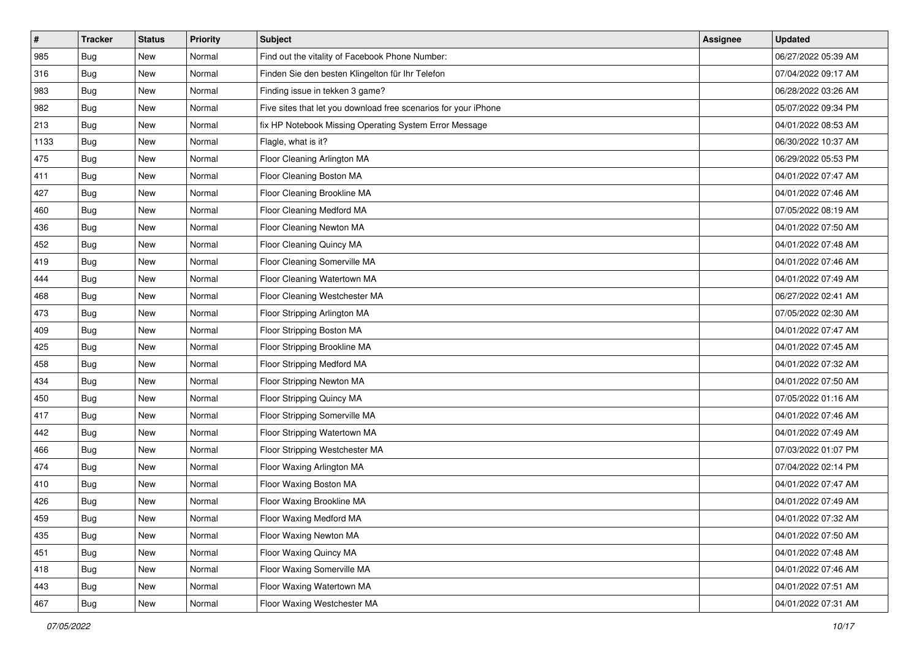| $\vert$ # | <b>Tracker</b> | <b>Status</b> | Priority | <b>Subject</b>                                                  | <b>Assignee</b> | <b>Updated</b>      |
|-----------|----------------|---------------|----------|-----------------------------------------------------------------|-----------------|---------------------|
| 985       | <b>Bug</b>     | New           | Normal   | Find out the vitality of Facebook Phone Number:                 |                 | 06/27/2022 05:39 AM |
| 316       | Bug            | New           | Normal   | Finden Sie den besten Klingelton für Ihr Telefon                |                 | 07/04/2022 09:17 AM |
| 983       | Bug            | New           | Normal   | Finding issue in tekken 3 game?                                 |                 | 06/28/2022 03:26 AM |
| 982       | <b>Bug</b>     | New           | Normal   | Five sites that let you download free scenarios for your iPhone |                 | 05/07/2022 09:34 PM |
| 213       | Bug            | New           | Normal   | fix HP Notebook Missing Operating System Error Message          |                 | 04/01/2022 08:53 AM |
| 1133      | <b>Bug</b>     | New           | Normal   | Flagle, what is it?                                             |                 | 06/30/2022 10:37 AM |
| 475       | <b>Bug</b>     | New           | Normal   | Floor Cleaning Arlington MA                                     |                 | 06/29/2022 05:53 PM |
| 411       | Bug            | New           | Normal   | Floor Cleaning Boston MA                                        |                 | 04/01/2022 07:47 AM |
| 427       | <b>Bug</b>     | New           | Normal   | Floor Cleaning Brookline MA                                     |                 | 04/01/2022 07:46 AM |
| 460       | Bug            | New           | Normal   | Floor Cleaning Medford MA                                       |                 | 07/05/2022 08:19 AM |
| 436       | <b>Bug</b>     | New           | Normal   | Floor Cleaning Newton MA                                        |                 | 04/01/2022 07:50 AM |
| 452       | Bug            | New           | Normal   | Floor Cleaning Quincy MA                                        |                 | 04/01/2022 07:48 AM |
| 419       | <b>Bug</b>     | New           | Normal   | Floor Cleaning Somerville MA                                    |                 | 04/01/2022 07:46 AM |
| 444       | <b>Bug</b>     | New           | Normal   | Floor Cleaning Watertown MA                                     |                 | 04/01/2022 07:49 AM |
| 468       | <b>Bug</b>     | New           | Normal   | Floor Cleaning Westchester MA                                   |                 | 06/27/2022 02:41 AM |
| 473       | Bug            | New           | Normal   | Floor Stripping Arlington MA                                    |                 | 07/05/2022 02:30 AM |
| 409       | <b>Bug</b>     | New           | Normal   | Floor Stripping Boston MA                                       |                 | 04/01/2022 07:47 AM |
| 425       | Bug            | New           | Normal   | Floor Stripping Brookline MA                                    |                 | 04/01/2022 07:45 AM |
| 458       | Bug            | New           | Normal   | Floor Stripping Medford MA                                      |                 | 04/01/2022 07:32 AM |
| 434       | <b>Bug</b>     | New           | Normal   | Floor Stripping Newton MA                                       |                 | 04/01/2022 07:50 AM |
| 450       | <b>Bug</b>     | New           | Normal   | Floor Stripping Quincy MA                                       |                 | 07/05/2022 01:16 AM |
| 417       | <b>Bug</b>     | New           | Normal   | Floor Stripping Somerville MA                                   |                 | 04/01/2022 07:46 AM |
| 442       | Bug            | New           | Normal   | Floor Stripping Watertown MA                                    |                 | 04/01/2022 07:49 AM |
| 466       | <b>Bug</b>     | New           | Normal   | Floor Stripping Westchester MA                                  |                 | 07/03/2022 01:07 PM |
| 474       | Bug            | New           | Normal   | Floor Waxing Arlington MA                                       |                 | 07/04/2022 02:14 PM |
| 410       | <b>Bug</b>     | <b>New</b>    | Normal   | Floor Waxing Boston MA                                          |                 | 04/01/2022 07:47 AM |
| 426       | <b>Bug</b>     | New           | Normal   | Floor Waxing Brookline MA                                       |                 | 04/01/2022 07:49 AM |
| 459       | <b>Bug</b>     | New           | Normal   | Floor Waxing Medford MA                                         |                 | 04/01/2022 07:32 AM |
| 435       | Bug            | New           | Normal   | Floor Waxing Newton MA                                          |                 | 04/01/2022 07:50 AM |
| 451       | Bug            | New           | Normal   | Floor Waxing Quincy MA                                          |                 | 04/01/2022 07:48 AM |
| 418       | Bug            | New           | Normal   | Floor Waxing Somerville MA                                      |                 | 04/01/2022 07:46 AM |
| 443       | <b>Bug</b>     | New           | Normal   | Floor Waxing Watertown MA                                       |                 | 04/01/2022 07:51 AM |
| 467       | <b>Bug</b>     | New           | Normal   | Floor Waxing Westchester MA                                     |                 | 04/01/2022 07:31 AM |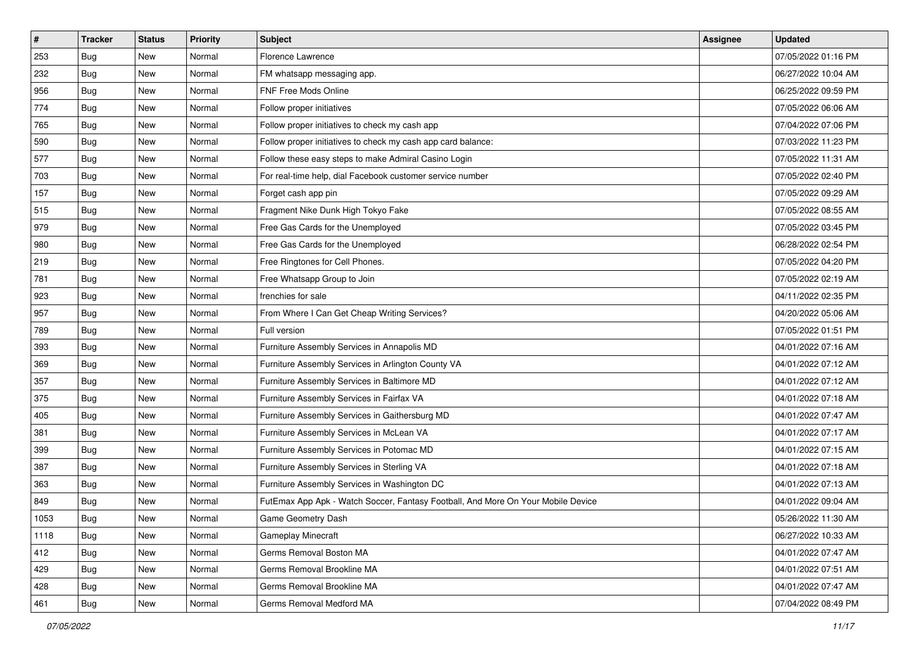| $\sharp$ | <b>Tracker</b> | <b>Status</b> | <b>Priority</b> | Subject                                                                          | <b>Assignee</b> | <b>Updated</b>      |
|----------|----------------|---------------|-----------------|----------------------------------------------------------------------------------|-----------------|---------------------|
| 253      | Bug            | New           | Normal          | Florence Lawrence                                                                |                 | 07/05/2022 01:16 PM |
| 232      | Bug            | <b>New</b>    | Normal          | FM whatsapp messaging app.                                                       |                 | 06/27/2022 10:04 AM |
| 956      | <b>Bug</b>     | New           | Normal          | FNF Free Mods Online                                                             |                 | 06/25/2022 09:59 PM |
| 774      | <b>Bug</b>     | <b>New</b>    | Normal          | Follow proper initiatives                                                        |                 | 07/05/2022 06:06 AM |
| 765      | Bug            | <b>New</b>    | Normal          | Follow proper initiatives to check my cash app                                   |                 | 07/04/2022 07:06 PM |
| 590      | Bug            | New           | Normal          | Follow proper initiatives to check my cash app card balance:                     |                 | 07/03/2022 11:23 PM |
| 577      | Bug            | <b>New</b>    | Normal          | Follow these easy steps to make Admiral Casino Login                             |                 | 07/05/2022 11:31 AM |
| 703      | Bug            | New           | Normal          | For real-time help, dial Facebook customer service number                        |                 | 07/05/2022 02:40 PM |
| 157      | Bug            | New           | Normal          | Forget cash app pin                                                              |                 | 07/05/2022 09:29 AM |
| 515      | Bug            | <b>New</b>    | Normal          | Fragment Nike Dunk High Tokyo Fake                                               |                 | 07/05/2022 08:55 AM |
| 979      | Bug            | New           | Normal          | Free Gas Cards for the Unemployed                                                |                 | 07/05/2022 03:45 PM |
| 980      | <b>Bug</b>     | New           | Normal          | Free Gas Cards for the Unemployed                                                |                 | 06/28/2022 02:54 PM |
| 219      | <b>Bug</b>     | New           | Normal          | Free Ringtones for Cell Phones.                                                  |                 | 07/05/2022 04:20 PM |
| 781      | Bug            | <b>New</b>    | Normal          | Free Whatsapp Group to Join                                                      |                 | 07/05/2022 02:19 AM |
| 923      | Bug            | New           | Normal          | frenchies for sale                                                               |                 | 04/11/2022 02:35 PM |
| 957      | <b>Bug</b>     | New           | Normal          | From Where I Can Get Cheap Writing Services?                                     |                 | 04/20/2022 05:06 AM |
| 789      | <b>Bug</b>     | New           | Normal          | Full version                                                                     |                 | 07/05/2022 01:51 PM |
| 393      | Bug            | <b>New</b>    | Normal          | Furniture Assembly Services in Annapolis MD                                      |                 | 04/01/2022 07:16 AM |
| 369      | Bug            | New           | Normal          | Furniture Assembly Services in Arlington County VA                               |                 | 04/01/2022 07:12 AM |
| 357      | Bug            | <b>New</b>    | Normal          | Furniture Assembly Services in Baltimore MD                                      |                 | 04/01/2022 07:12 AM |
| 375      | Bug            | New           | Normal          | Furniture Assembly Services in Fairfax VA                                        |                 | 04/01/2022 07:18 AM |
| 405      | Bug            | New           | Normal          | Furniture Assembly Services in Gaithersburg MD                                   |                 | 04/01/2022 07:47 AM |
| 381      | Bug            | <b>New</b>    | Normal          | Furniture Assembly Services in McLean VA                                         |                 | 04/01/2022 07:17 AM |
| 399      | Bug            | New           | Normal          | Furniture Assembly Services in Potomac MD                                        |                 | 04/01/2022 07:15 AM |
| 387      | Bug            | New           | Normal          | Furniture Assembly Services in Sterling VA                                       |                 | 04/01/2022 07:18 AM |
| 363      | <b>Bug</b>     | New           | Normal          | Furniture Assembly Services in Washington DC                                     |                 | 04/01/2022 07:13 AM |
| 849      | Bug            | New           | Normal          | FutEmax App Apk - Watch Soccer, Fantasy Football, And More On Your Mobile Device |                 | 04/01/2022 09:04 AM |
| 1053     | <b>Bug</b>     | New           | Normal          | Game Geometry Dash                                                               |                 | 05/26/2022 11:30 AM |
| 1118     | Bug            | New           | Normal          | <b>Gameplay Minecraft</b>                                                        |                 | 06/27/2022 10:33 AM |
| 412      | Bug            | New           | Normal          | Germs Removal Boston MA                                                          |                 | 04/01/2022 07:47 AM |
| 429      | Bug            | New           | Normal          | Germs Removal Brookline MA                                                       |                 | 04/01/2022 07:51 AM |
| 428      | Bug            | New           | Normal          | Germs Removal Brookline MA                                                       |                 | 04/01/2022 07:47 AM |
| 461      | <b>Bug</b>     | New           | Normal          | Germs Removal Medford MA                                                         |                 | 07/04/2022 08:49 PM |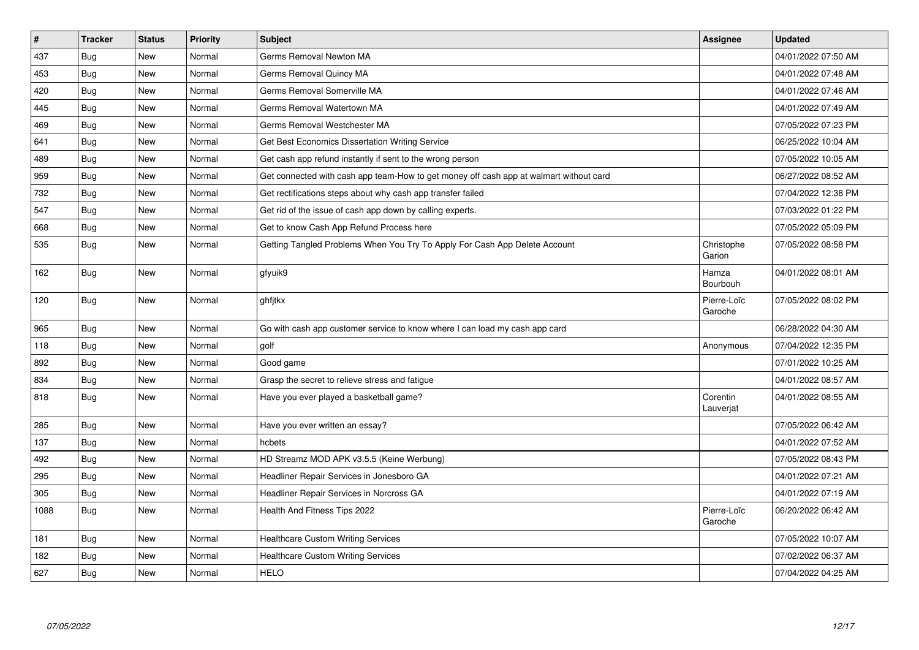| $\vert$ # | <b>Tracker</b> | <b>Status</b> | Priority | Subject                                                                                | <b>Assignee</b>        | <b>Updated</b>      |
|-----------|----------------|---------------|----------|----------------------------------------------------------------------------------------|------------------------|---------------------|
| 437       | Bug            | <b>New</b>    | Normal   | Germs Removal Newton MA                                                                |                        | 04/01/2022 07:50 AM |
| 453       | Bug            | <b>New</b>    | Normal   | Germs Removal Quincy MA                                                                |                        | 04/01/2022 07:48 AM |
| 420       | Bug            | New           | Normal   | Germs Removal Somerville MA                                                            |                        | 04/01/2022 07:46 AM |
| 445       | <b>Bug</b>     | New           | Normal   | Germs Removal Watertown MA                                                             |                        | 04/01/2022 07:49 AM |
| 469       | <b>Bug</b>     | <b>New</b>    | Normal   | Germs Removal Westchester MA                                                           |                        | 07/05/2022 07:23 PM |
| 641       | Bug            | New           | Normal   | Get Best Economics Dissertation Writing Service                                        |                        | 06/25/2022 10:04 AM |
| 489       | Bug            | <b>New</b>    | Normal   | Get cash app refund instantly if sent to the wrong person                              |                        | 07/05/2022 10:05 AM |
| 959       | Bug            | <b>New</b>    | Normal   | Get connected with cash app team-How to get money off cash app at walmart without card |                        | 06/27/2022 08:52 AM |
| 732       | Bug            | <b>New</b>    | Normal   | Get rectifications steps about why cash app transfer failed                            |                        | 07/04/2022 12:38 PM |
| 547       | Bug            | <b>New</b>    | Normal   | Get rid of the issue of cash app down by calling experts.                              |                        | 07/03/2022 01:22 PM |
| 668       | Bug            | <b>New</b>    | Normal   | Get to know Cash App Refund Process here                                               |                        | 07/05/2022 05:09 PM |
| 535       | Bug            | <b>New</b>    | Normal   | Getting Tangled Problems When You Try To Apply For Cash App Delete Account             | Christophe<br>Garion   | 07/05/2022 08:58 PM |
| 162       | Bug            | New           | Normal   | gfyuik9                                                                                | Hamza<br>Bourbouh      | 04/01/2022 08:01 AM |
| 120       | <b>Bug</b>     | New           | Normal   | ghfjtkx                                                                                | Pierre-Loïc<br>Garoche | 07/05/2022 08:02 PM |
| 965       | <b>Bug</b>     | <b>New</b>    | Normal   | Go with cash app customer service to know where I can load my cash app card            |                        | 06/28/2022 04:30 AM |
| 118       | Bug            | <b>New</b>    | Normal   | golf                                                                                   | Anonymous              | 07/04/2022 12:35 PM |
| 892       | Bug            | New           | Normal   | Good game                                                                              |                        | 07/01/2022 10:25 AM |
| 834       | Bug            | New           | Normal   | Grasp the secret to relieve stress and fatigue                                         |                        | 04/01/2022 08:57 AM |
| 818       | Bug            | New           | Normal   | Have you ever played a basketball game?                                                | Corentin<br>Lauverjat  | 04/01/2022 08:55 AM |
| 285       | <b>Bug</b>     | <b>New</b>    | Normal   | Have you ever written an essay?                                                        |                        | 07/05/2022 06:42 AM |
| 137       | Bug            | <b>New</b>    | Normal   | hcbets                                                                                 |                        | 04/01/2022 07:52 AM |
| 492       | Bug            | <b>New</b>    | Normal   | HD Streamz MOD APK v3.5.5 (Keine Werbung)                                              |                        | 07/05/2022 08:43 PM |
| 295       | Bug            | New           | Normal   | Headliner Repair Services in Jonesboro GA                                              |                        | 04/01/2022 07:21 AM |
| 305       | Bug            | <b>New</b>    | Normal   | Headliner Repair Services in Norcross GA                                               |                        | 04/01/2022 07:19 AM |
| 1088      | Bug            | <b>New</b>    | Normal   | Health And Fitness Tips 2022                                                           | Pierre-Loïc<br>Garoche | 06/20/2022 06:42 AM |
| 181       | Bug            | New           | Normal   | <b>Healthcare Custom Writing Services</b>                                              |                        | 07/05/2022 10:07 AM |
| 182       | Bug            | <b>New</b>    | Normal   | <b>Healthcare Custom Writing Services</b>                                              |                        | 07/02/2022 06:37 AM |
| 627       | Bug            | New           | Normal   | <b>HELO</b>                                                                            |                        | 07/04/2022 04:25 AM |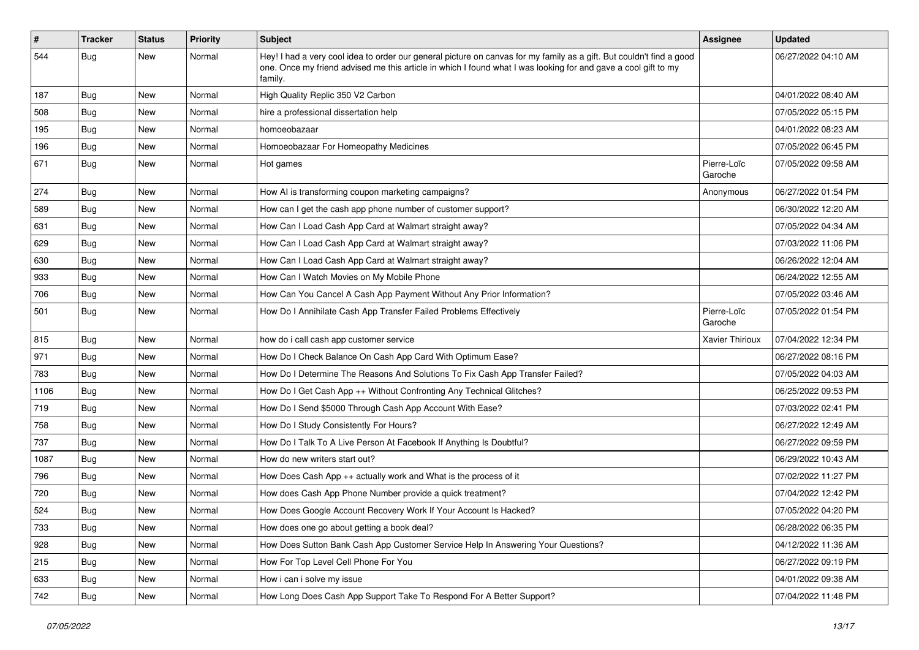| $\vert$ # | Tracker    | <b>Status</b> | <b>Priority</b> | <b>Subject</b>                                                                                                                                                                                                                                    | <b>Assignee</b>        | <b>Updated</b>      |
|-----------|------------|---------------|-----------------|---------------------------------------------------------------------------------------------------------------------------------------------------------------------------------------------------------------------------------------------------|------------------------|---------------------|
| 544       | Bug        | New           | Normal          | Hey! I had a very cool idea to order our general picture on canvas for my family as a gift. But couldn't find a good<br>one. Once my friend advised me this article in which I found what I was looking for and gave a cool gift to my<br>family. |                        | 06/27/2022 04:10 AM |
| 187       | Bug        | New           | Normal          | High Quality Replic 350 V2 Carbon                                                                                                                                                                                                                 |                        | 04/01/2022 08:40 AM |
| 508       | Bug        | New           | Normal          | hire a professional dissertation help                                                                                                                                                                                                             |                        | 07/05/2022 05:15 PM |
| 195       | <b>Bug</b> | New           | Normal          | homoeobazaar                                                                                                                                                                                                                                      |                        | 04/01/2022 08:23 AM |
| 196       | Bug        | New           | Normal          | Homoeobazaar For Homeopathy Medicines                                                                                                                                                                                                             |                        | 07/05/2022 06:45 PM |
| 671       | Bug        | New           | Normal          | Hot games                                                                                                                                                                                                                                         | Pierre-Loïc<br>Garoche | 07/05/2022 09:58 AM |
| 274       | Bug        | <b>New</b>    | Normal          | How AI is transforming coupon marketing campaigns?                                                                                                                                                                                                | Anonymous              | 06/27/2022 01:54 PM |
| 589       | Bug        | New           | Normal          | How can I get the cash app phone number of customer support?                                                                                                                                                                                      |                        | 06/30/2022 12:20 AM |
| 631       | <b>Bug</b> | New           | Normal          | How Can I Load Cash App Card at Walmart straight away?                                                                                                                                                                                            |                        | 07/05/2022 04:34 AM |
| 629       | Bug        | <b>New</b>    | Normal          | How Can I Load Cash App Card at Walmart straight away?                                                                                                                                                                                            |                        | 07/03/2022 11:06 PM |
| 630       | Bug        | New           | Normal          | How Can I Load Cash App Card at Walmart straight away?                                                                                                                                                                                            |                        | 06/26/2022 12:04 AM |
| 933       | Bug        | New           | Normal          | How Can I Watch Movies on My Mobile Phone                                                                                                                                                                                                         |                        | 06/24/2022 12:55 AM |
| 706       | Bug        | New           | Normal          | How Can You Cancel A Cash App Payment Without Any Prior Information?                                                                                                                                                                              |                        | 07/05/2022 03:46 AM |
| 501       | Bug        | New           | Normal          | How Do I Annihilate Cash App Transfer Failed Problems Effectively                                                                                                                                                                                 | Pierre-Loïc<br>Garoche | 07/05/2022 01:54 PM |
| 815       | Bug        | New           | Normal          | how do i call cash app customer service                                                                                                                                                                                                           | <b>Xavier Thirioux</b> | 07/04/2022 12:34 PM |
| 971       | <b>Bug</b> | New           | Normal          | How Do I Check Balance On Cash App Card With Optimum Ease?                                                                                                                                                                                        |                        | 06/27/2022 08:16 PM |
| 783       | Bug        | New           | Normal          | How Do I Determine The Reasons And Solutions To Fix Cash App Transfer Failed?                                                                                                                                                                     |                        | 07/05/2022 04:03 AM |
| 1106      | Bug        | New           | Normal          | How Do I Get Cash App ++ Without Confronting Any Technical Glitches?                                                                                                                                                                              |                        | 06/25/2022 09:53 PM |
| 719       | <b>Bug</b> | New           | Normal          | How Do I Send \$5000 Through Cash App Account With Ease?                                                                                                                                                                                          |                        | 07/03/2022 02:41 PM |
| 758       | <b>Bug</b> | New           | Normal          | How Do I Study Consistently For Hours?                                                                                                                                                                                                            |                        | 06/27/2022 12:49 AM |
| 737       | <b>Bug</b> | New           | Normal          | How Do I Talk To A Live Person At Facebook If Anything Is Doubtful?                                                                                                                                                                               |                        | 06/27/2022 09:59 PM |
| 1087      | Bug        | New           | Normal          | How do new writers start out?                                                                                                                                                                                                                     |                        | 06/29/2022 10:43 AM |
| 796       | <b>Bug</b> | New           | Normal          | How Does Cash App $++$ actually work and What is the process of it                                                                                                                                                                                |                        | 07/02/2022 11:27 PM |
| 720       | Bug        | New           | Normal          | How does Cash App Phone Number provide a quick treatment?                                                                                                                                                                                         |                        | 07/04/2022 12:42 PM |
| 524       | <b>Bug</b> | New           | Normal          | How Does Google Account Recovery Work If Your Account Is Hacked?                                                                                                                                                                                  |                        | 07/05/2022 04:20 PM |
| 733       | <b>Bug</b> | New           | Normal          | How does one go about getting a book deal?                                                                                                                                                                                                        |                        | 06/28/2022 06:35 PM |
| 928       | <b>Bug</b> | New           | Normal          | How Does Sutton Bank Cash App Customer Service Help In Answering Your Questions?                                                                                                                                                                  |                        | 04/12/2022 11:36 AM |
| 215       | <b>Bug</b> | New           | Normal          | How For Top Level Cell Phone For You                                                                                                                                                                                                              |                        | 06/27/2022 09:19 PM |
| 633       | Bug        | New           | Normal          | How i can i solve my issue                                                                                                                                                                                                                        |                        | 04/01/2022 09:38 AM |
| 742       | <b>Bug</b> | New           | Normal          | How Long Does Cash App Support Take To Respond For A Better Support?                                                                                                                                                                              |                        | 07/04/2022 11:48 PM |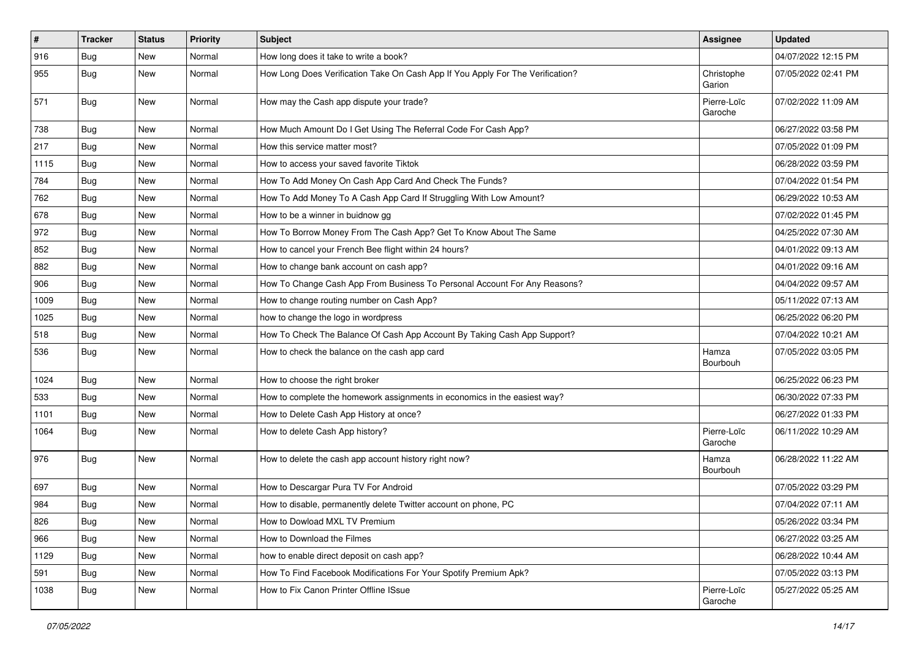| $\vert$ # | <b>Tracker</b> | <b>Status</b> | <b>Priority</b> | <b>Subject</b>                                                                 | <b>Assignee</b>        | <b>Updated</b>      |
|-----------|----------------|---------------|-----------------|--------------------------------------------------------------------------------|------------------------|---------------------|
| 916       | <b>Bug</b>     | New           | Normal          | How long does it take to write a book?                                         |                        | 04/07/2022 12:15 PM |
| 955       | Bug            | New           | Normal          | How Long Does Verification Take On Cash App If You Apply For The Verification? | Christophe<br>Garion   | 07/05/2022 02:41 PM |
| 571       | Bug            | New           | Normal          | How may the Cash app dispute your trade?                                       | Pierre-Loïc<br>Garoche | 07/02/2022 11:09 AM |
| 738       | Bug            | <b>New</b>    | Normal          | How Much Amount Do I Get Using The Referral Code For Cash App?                 |                        | 06/27/2022 03:58 PM |
| 217       | <b>Bug</b>     | New           | Normal          | How this service matter most?                                                  |                        | 07/05/2022 01:09 PM |
| 1115      | Bug            | <b>New</b>    | Normal          | How to access your saved favorite Tiktok                                       |                        | 06/28/2022 03:59 PM |
| 784       | Bug            | New           | Normal          | How To Add Money On Cash App Card And Check The Funds?                         |                        | 07/04/2022 01:54 PM |
| 762       | Bug            | New           | Normal          | How To Add Money To A Cash App Card If Struggling With Low Amount?             |                        | 06/29/2022 10:53 AM |
| 678       | <b>Bug</b>     | New           | Normal          | How to be a winner in buidnow gg                                               |                        | 07/02/2022 01:45 PM |
| 972       | <b>Bug</b>     | New           | Normal          | How To Borrow Money From The Cash App? Get To Know About The Same              |                        | 04/25/2022 07:30 AM |
| 852       | Bug            | <b>New</b>    | Normal          | How to cancel your French Bee flight within 24 hours?                          |                        | 04/01/2022 09:13 AM |
| 882       | Bug            | New           | Normal          | How to change bank account on cash app?                                        |                        | 04/01/2022 09:16 AM |
| 906       | Bug            | <b>New</b>    | Normal          | How To Change Cash App From Business To Personal Account For Any Reasons?      |                        | 04/04/2022 09:57 AM |
| 1009      | Bug            | <b>New</b>    | Normal          | How to change routing number on Cash App?                                      |                        | 05/11/2022 07:13 AM |
| 1025      | <b>Bug</b>     | New           | Normal          | how to change the logo in wordpress                                            |                        | 06/25/2022 06:20 PM |
| 518       | Bug            | <b>New</b>    | Normal          | How To Check The Balance Of Cash App Account By Taking Cash App Support?       |                        | 07/04/2022 10:21 AM |
| 536       | Bug            | New           | Normal          | How to check the balance on the cash app card                                  | Hamza<br>Bourbouh      | 07/05/2022 03:05 PM |
| 1024      | Bug            | <b>New</b>    | Normal          | How to choose the right broker                                                 |                        | 06/25/2022 06:23 PM |
| 533       | Bug            | New           | Normal          | How to complete the homework assignments in economics in the easiest way?      |                        | 06/30/2022 07:33 PM |
| 1101      | Bug            | <b>New</b>    | Normal          | How to Delete Cash App History at once?                                        |                        | 06/27/2022 01:33 PM |
| 1064      | Bug            | New           | Normal          | How to delete Cash App history?                                                | Pierre-Loïc<br>Garoche | 06/11/2022 10:29 AM |
| 976       | Bug            | <b>New</b>    | Normal          | How to delete the cash app account history right now?                          | Hamza<br>Bourbouh      | 06/28/2022 11:22 AM |
| 697       | <b>Bug</b>     | <b>New</b>    | Normal          | How to Descargar Pura TV For Android                                           |                        | 07/05/2022 03:29 PM |
| 984       | Bug            | <b>New</b>    | Normal          | How to disable, permanently delete Twitter account on phone, PC                |                        | 07/04/2022 07:11 AM |
| 826       | Bug            | New           | Normal          | How to Dowload MXL TV Premium                                                  |                        | 05/26/2022 03:34 PM |
| 966       | Bug            | New           | Normal          | How to Download the Filmes                                                     |                        | 06/27/2022 03:25 AM |
| 1129      | Bug            | New           | Normal          | how to enable direct deposit on cash app?                                      |                        | 06/28/2022 10:44 AM |
| 591       | Bug            | New           | Normal          | How To Find Facebook Modifications For Your Spotify Premium Apk?               |                        | 07/05/2022 03:13 PM |
| 1038      | Bug            | New           | Normal          | How to Fix Canon Printer Offline ISsue                                         | Pierre-Loïc<br>Garoche | 05/27/2022 05:25 AM |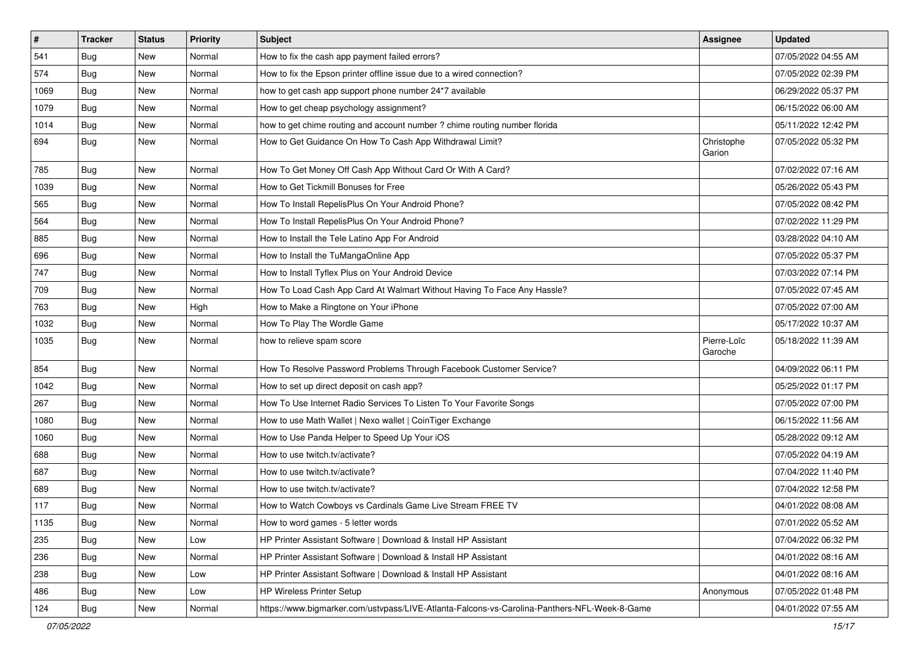| $\vert$ # | <b>Tracker</b> | <b>Status</b> | <b>Priority</b> | <b>Subject</b>                                                                               | <b>Assignee</b>        | <b>Updated</b>      |
|-----------|----------------|---------------|-----------------|----------------------------------------------------------------------------------------------|------------------------|---------------------|
| 541       | <b>Bug</b>     | New           | Normal          | How to fix the cash app payment failed errors?                                               |                        | 07/05/2022 04:55 AM |
| 574       | Bug            | <b>New</b>    | Normal          | How to fix the Epson printer offline issue due to a wired connection?                        |                        | 07/05/2022 02:39 PM |
| 1069      | Bug            | New           | Normal          | how to get cash app support phone number 24*7 available                                      |                        | 06/29/2022 05:37 PM |
| 1079      | <b>Bug</b>     | New           | Normal          | How to get cheap psychology assignment?                                                      |                        | 06/15/2022 06:00 AM |
| 1014      | Bug            | <b>New</b>    | Normal          | how to get chime routing and account number ? chime routing number florida                   |                        | 05/11/2022 12:42 PM |
| 694       | <b>Bug</b>     | New           | Normal          | How to Get Guidance On How To Cash App Withdrawal Limit?                                     | Christophe<br>Garion   | 07/05/2022 05:32 PM |
| 785       | Bug            | <b>New</b>    | Normal          | How To Get Money Off Cash App Without Card Or With A Card?                                   |                        | 07/02/2022 07:16 AM |
| 1039      | Bug            | <b>New</b>    | Normal          | How to Get Tickmill Bonuses for Free                                                         |                        | 05/26/2022 05:43 PM |
| 565       | Bug            | <b>New</b>    | Normal          | How To Install RepelisPlus On Your Android Phone?                                            |                        | 07/05/2022 08:42 PM |
| 564       | <b>Bug</b>     | New           | Normal          | How To Install RepelisPlus On Your Android Phone?                                            |                        | 07/02/2022 11:29 PM |
| 885       | <b>Bug</b>     | New           | Normal          | How to Install the Tele Latino App For Android                                               |                        | 03/28/2022 04:10 AM |
| 696       | Bug            | <b>New</b>    | Normal          | How to Install the TuMangaOnline App                                                         |                        | 07/05/2022 05:37 PM |
| 747       | <b>Bug</b>     | New           | Normal          | How to Install Tyflex Plus on Your Android Device                                            |                        | 07/03/2022 07:14 PM |
| 709       | Bug            | New           | Normal          | How To Load Cash App Card At Walmart Without Having To Face Any Hassle?                      |                        | 07/05/2022 07:45 AM |
| 763       | Bug            | New           | High            | How to Make a Ringtone on Your iPhone                                                        |                        | 07/05/2022 07:00 AM |
| 1032      | Bug            | <b>New</b>    | Normal          | How To Play The Wordle Game                                                                  |                        | 05/17/2022 10:37 AM |
| 1035      | Bug            | <b>New</b>    | Normal          | how to relieve spam score                                                                    | Pierre-Loïc<br>Garoche | 05/18/2022 11:39 AM |
| 854       | Bug            | <b>New</b>    | Normal          | How To Resolve Password Problems Through Facebook Customer Service?                          |                        | 04/09/2022 06:11 PM |
| 1042      | Bug            | <b>New</b>    | Normal          | How to set up direct deposit on cash app?                                                    |                        | 05/25/2022 01:17 PM |
| 267       | Bug            | New           | Normal          | How To Use Internet Radio Services To Listen To Your Favorite Songs                          |                        | 07/05/2022 07:00 PM |
| 1080      | Bug            | <b>New</b>    | Normal          | How to use Math Wallet   Nexo wallet   CoinTiger Exchange                                    |                        | 06/15/2022 11:56 AM |
| 1060      | Bug            | New           | Normal          | How to Use Panda Helper to Speed Up Your iOS                                                 |                        | 05/28/2022 09:12 AM |
| 688       | <b>Bug</b>     | New           | Normal          | How to use twitch.tv/activate?                                                               |                        | 07/05/2022 04:19 AM |
| 687       | Bug            | <b>New</b>    | Normal          | How to use twitch.tv/activate?                                                               |                        | 07/04/2022 11:40 PM |
| 689       | <b>Bug</b>     | New           | Normal          | How to use twitch.tv/activate?                                                               |                        | 07/04/2022 12:58 PM |
| 117       | Bug            | New           | Normal          | How to Watch Cowboys vs Cardinals Game Live Stream FREE TV                                   |                        | 04/01/2022 08:08 AM |
| 1135      | Bug            | New           | Normal          | How to word games - 5 letter words                                                           |                        | 07/01/2022 05:52 AM |
| 235       | Bug            | <b>New</b>    | Low             | HP Printer Assistant Software   Download & Install HP Assistant                              |                        | 07/04/2022 06:32 PM |
| 236       | Bug            | New           | Normal          | HP Printer Assistant Software   Download & Install HP Assistant                              |                        | 04/01/2022 08:16 AM |
| 238       | <b>Bug</b>     | New           | Low             | HP Printer Assistant Software   Download & Install HP Assistant                              |                        | 04/01/2022 08:16 AM |
| 486       | Bug            | New           | Low             | HP Wireless Printer Setup                                                                    | Anonymous              | 07/05/2022 01:48 PM |
| 124       | <b>Bug</b>     | New           | Normal          | https://www.bigmarker.com/ustvpass/LIVE-Atlanta-Falcons-vs-Carolina-Panthers-NFL-Week-8-Game |                        | 04/01/2022 07:55 AM |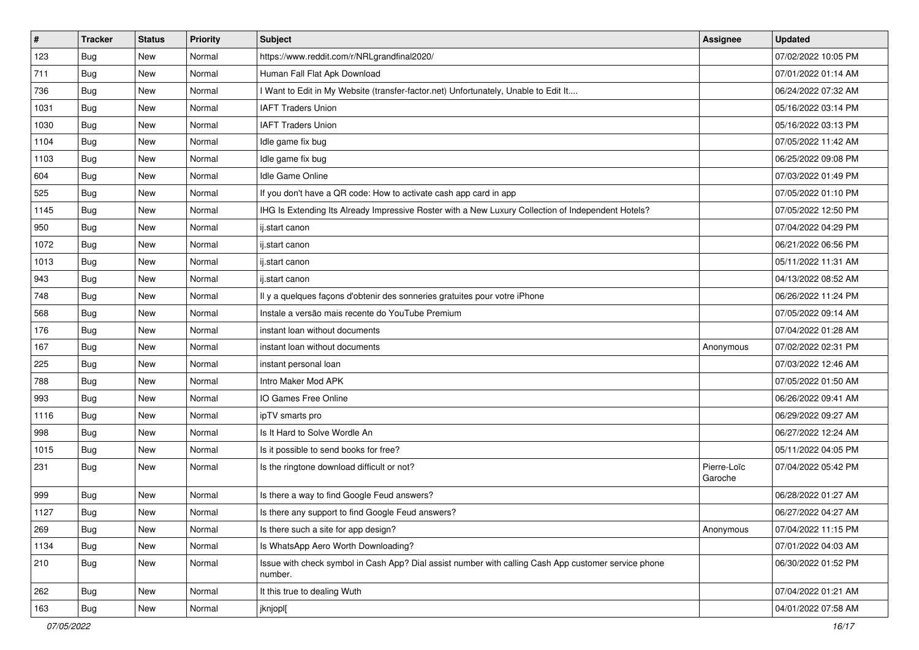| $\vert$ # | <b>Tracker</b> | <b>Status</b> | <b>Priority</b> | <b>Subject</b>                                                                                                  | <b>Assignee</b>        | <b>Updated</b>      |
|-----------|----------------|---------------|-----------------|-----------------------------------------------------------------------------------------------------------------|------------------------|---------------------|
| 123       | <b>Bug</b>     | New           | Normal          | https://www.reddit.com/r/NRLgrandfinal2020/                                                                     |                        | 07/02/2022 10:05 PM |
| 711       | Bug            | <b>New</b>    | Normal          | Human Fall Flat Apk Download                                                                                    |                        | 07/01/2022 01:14 AM |
| 736       | Bug            | New           | Normal          | I Want to Edit in My Website (transfer-factor.net) Unfortunately, Unable to Edit It                             |                        | 06/24/2022 07:32 AM |
| 1031      | <b>Bug</b>     | <b>New</b>    | Normal          | <b>IAFT Traders Union</b>                                                                                       |                        | 05/16/2022 03:14 PM |
| 1030      | Bug            | <b>New</b>    | Normal          | <b>IAFT Traders Union</b>                                                                                       |                        | 05/16/2022 03:13 PM |
| 1104      | Bug            | New           | Normal          | Idle game fix bug                                                                                               |                        | 07/05/2022 11:42 AM |
| 1103      | Bug            | <b>New</b>    | Normal          | Idle game fix bug                                                                                               |                        | 06/25/2022 09:08 PM |
| 604       | Bug            | <b>New</b>    | Normal          | Idle Game Online                                                                                                |                        | 07/03/2022 01:49 PM |
| 525       | Bug            | <b>New</b>    | Normal          | If you don't have a QR code: How to activate cash app card in app                                               |                        | 07/05/2022 01:10 PM |
| 1145      | Bug            | <b>New</b>    | Normal          | IHG Is Extending Its Already Impressive Roster with a New Luxury Collection of Independent Hotels?              |                        | 07/05/2022 12:50 PM |
| 950       | Bug            | New           | Normal          | ij.start canon                                                                                                  |                        | 07/04/2022 04:29 PM |
| 1072      | Bug            | New           | Normal          | ij.start canon                                                                                                  |                        | 06/21/2022 06:56 PM |
| 1013      | Bug            | <b>New</b>    | Normal          | ij.start canon                                                                                                  |                        | 05/11/2022 11:31 AM |
| 943       | Bug            | New           | Normal          | ij.start canon                                                                                                  |                        | 04/13/2022 08:52 AM |
| 748       | Bug            | <b>New</b>    | Normal          | Il y a quelques façons d'obtenir des sonneries gratuites pour votre iPhone                                      |                        | 06/26/2022 11:24 PM |
| 568       | Bug            | New           | Normal          | Instale a versão mais recente do YouTube Premium                                                                |                        | 07/05/2022 09:14 AM |
| 176       | <b>Bug</b>     | <b>New</b>    | Normal          | instant loan without documents                                                                                  |                        | 07/04/2022 01:28 AM |
| 167       | Bug            | <b>New</b>    | Normal          | instant loan without documents                                                                                  | Anonymous              | 07/02/2022 02:31 PM |
| 225       | <b>Bug</b>     | New           | Normal          | instant personal loan                                                                                           |                        | 07/03/2022 12:46 AM |
| 788       | Bug            | New           | Normal          | Intro Maker Mod APK                                                                                             |                        | 07/05/2022 01:50 AM |
| 993       | Bug            | New           | Normal          | IO Games Free Online                                                                                            |                        | 06/26/2022 09:41 AM |
| 1116      | Bug            | <b>New</b>    | Normal          | ipTV smarts pro                                                                                                 |                        | 06/29/2022 09:27 AM |
| 998       | Bug            | <b>New</b>    | Normal          | Is It Hard to Solve Wordle An                                                                                   |                        | 06/27/2022 12:24 AM |
| 1015      | Bug            | New           | Normal          | Is it possible to send books for free?                                                                          |                        | 05/11/2022 04:05 PM |
| 231       | Bug            | New           | Normal          | Is the ringtone download difficult or not?                                                                      | Pierre-Loïc<br>Garoche | 07/04/2022 05:42 PM |
| 999       | Bug            | New           | Normal          | Is there a way to find Google Feud answers?                                                                     |                        | 06/28/2022 01:27 AM |
| 1127      | Bug            | New           | Normal          | Is there any support to find Google Feud answers?                                                               |                        | 06/27/2022 04:27 AM |
| 269       | <b>Bug</b>     | New           | Normal          | Is there such a site for app design?                                                                            | Anonymous              | 07/04/2022 11:15 PM |
| 1134      | Bug            | New           | Normal          | Is WhatsApp Aero Worth Downloading?                                                                             |                        | 07/01/2022 04:03 AM |
| 210       | <b>Bug</b>     | New           | Normal          | Issue with check symbol in Cash App? Dial assist number with calling Cash App customer service phone<br>number. |                        | 06/30/2022 01:52 PM |
| 262       | Bug            | New           | Normal          | It this true to dealing Wuth                                                                                    |                        | 07/04/2022 01:21 AM |
| 163       | <b>Bug</b>     | New           | Normal          | jknjopl[                                                                                                        |                        | 04/01/2022 07:58 AM |